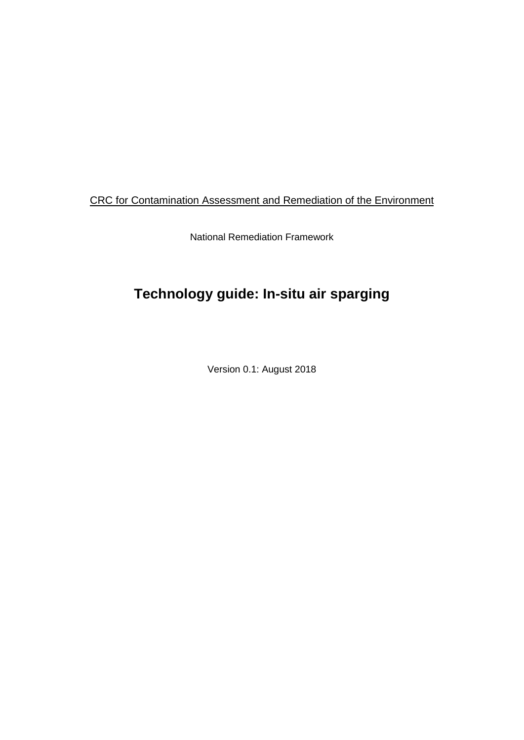### CRC for Contamination Assessment and Remediation of the Environment

National Remediation Framework

# **Technology guide: In-situ air sparging**

Version 0.1: August 2018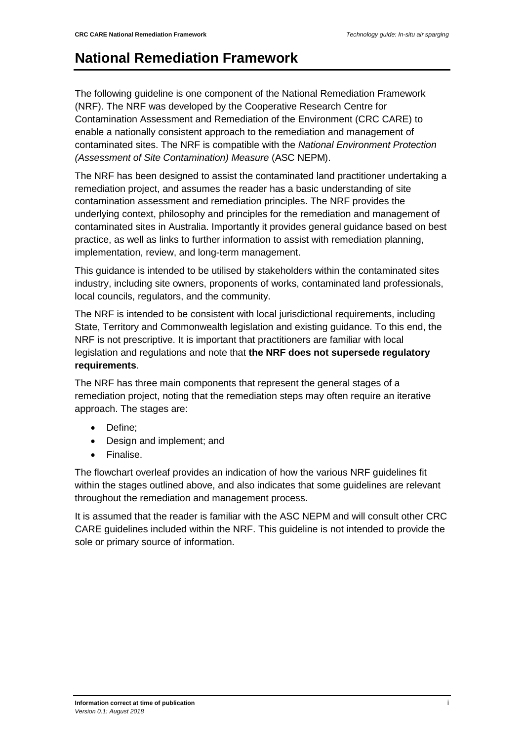### **National Remediation Framework**

The following guideline is one component of the National Remediation Framework (NRF). The NRF was developed by the Cooperative Research Centre for Contamination Assessment and Remediation of the Environment (CRC CARE) to enable a nationally consistent approach to the remediation and management of contaminated sites. The NRF is compatible with the *National Environment Protection (Assessment of Site Contamination) Measure* (ASC NEPM).

The NRF has been designed to assist the contaminated land practitioner undertaking a remediation project, and assumes the reader has a basic understanding of site contamination assessment and remediation principles. The NRF provides the underlying context, philosophy and principles for the remediation and management of contaminated sites in Australia. Importantly it provides general guidance based on best practice, as well as links to further information to assist with remediation planning, implementation, review, and long-term management.

This guidance is intended to be utilised by stakeholders within the contaminated sites industry, including site owners, proponents of works, contaminated land professionals, local councils, regulators, and the community.

The NRF is intended to be consistent with local jurisdictional requirements, including State, Territory and Commonwealth legislation and existing guidance. To this end, the NRF is not prescriptive. It is important that practitioners are familiar with local legislation and regulations and note that **the NRF does not supersede regulatory requirements**.

The NRF has three main components that represent the general stages of a remediation project, noting that the remediation steps may often require an iterative approach. The stages are:

- Define;
- Design and implement; and
- Finalise.

The flowchart overleaf provides an indication of how the various NRF guidelines fit within the stages outlined above, and also indicates that some guidelines are relevant throughout the remediation and management process.

It is assumed that the reader is familiar with the ASC NEPM and will consult other CRC CARE guidelines included within the NRF. This guideline is not intended to provide the sole or primary source of information.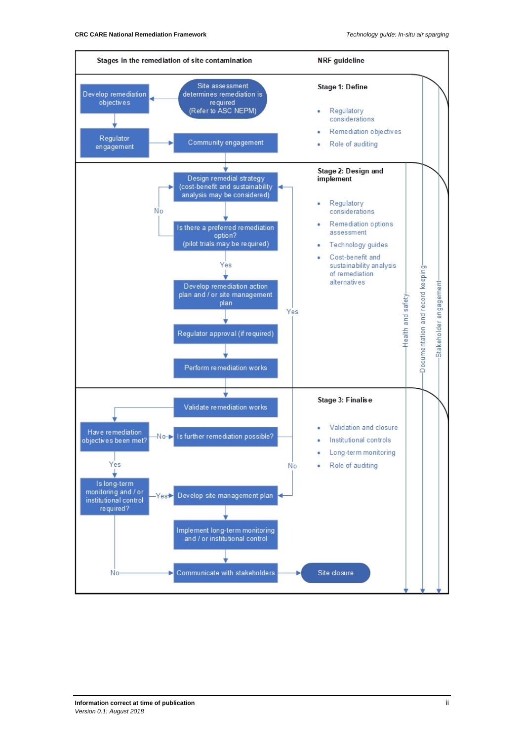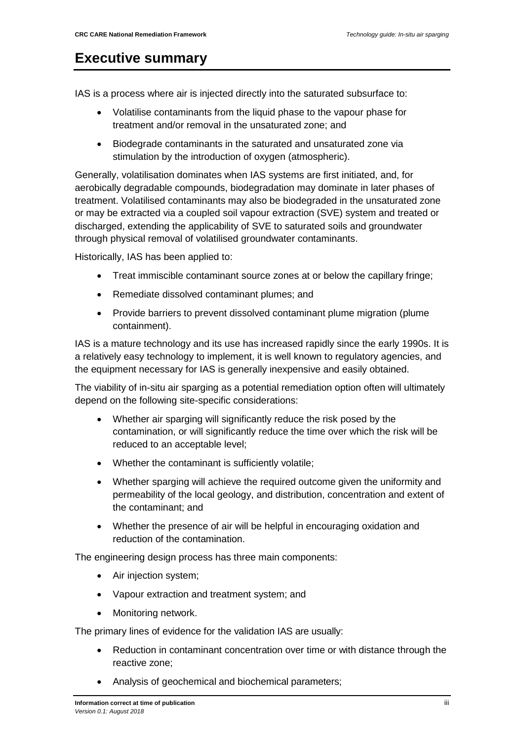### <span id="page-3-0"></span>**Executive summary**

IAS is a process where air is injected directly into the saturated subsurface to:

- Volatilise contaminants from the liquid phase to the vapour phase for treatment and/or removal in the unsaturated zone; and
- Biodegrade contaminants in the saturated and unsaturated zone via stimulation by the introduction of oxygen (atmospheric).

Generally, volatilisation dominates when IAS systems are first initiated, and, for aerobically degradable compounds, biodegradation may dominate in later phases of treatment. Volatilised contaminants may also be biodegraded in the unsaturated zone or may be extracted via a coupled soil vapour extraction (SVE) system and treated or discharged, extending the applicability of SVE to saturated soils and groundwater through physical removal of volatilised groundwater contaminants.

Historically, IAS has been applied to:

- Treat immiscible contaminant source zones at or below the capillary fringe;
- Remediate dissolved contaminant plumes; and
- Provide barriers to prevent dissolved contaminant plume migration (plume containment).

IAS is a mature technology and its use has increased rapidly since the early 1990s. It is a relatively easy technology to implement, it is well known to regulatory agencies, and the equipment necessary for IAS is generally inexpensive and easily obtained.

The viability of in-situ air sparging as a potential remediation option often will ultimately depend on the following site-specific considerations:

- Whether air sparging will significantly reduce the risk posed by the contamination, or will significantly reduce the time over which the risk will be reduced to an acceptable level;
- Whether the contaminant is sufficiently volatile;
- Whether sparging will achieve the required outcome given the uniformity and permeability of the local geology, and distribution, concentration and extent of the contaminant; and
- Whether the presence of air will be helpful in encouraging oxidation and reduction of the contamination.

The engineering design process has three main components:

- Air injection system;
- Vapour extraction and treatment system; and
- Monitoring network.

The primary lines of evidence for the validation IAS are usually:

- Reduction in contaminant concentration over time or with distance through the reactive zone;
- Analysis of geochemical and biochemical parameters;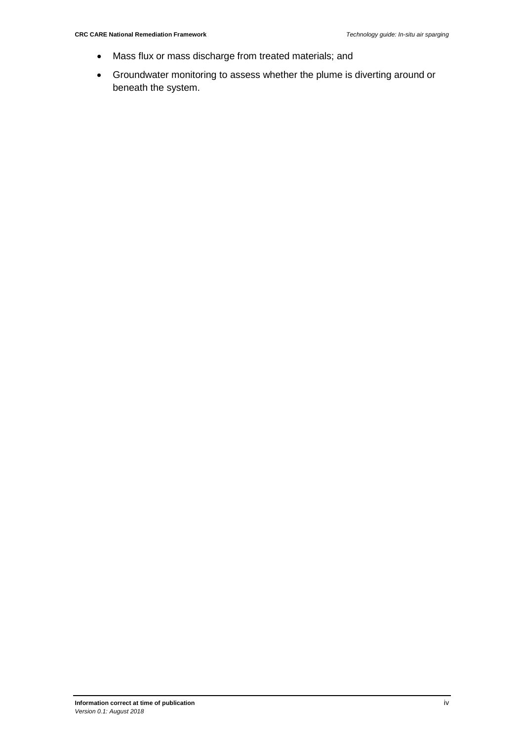- Mass flux or mass discharge from treated materials; and
- Groundwater monitoring to assess whether the plume is diverting around or beneath the system.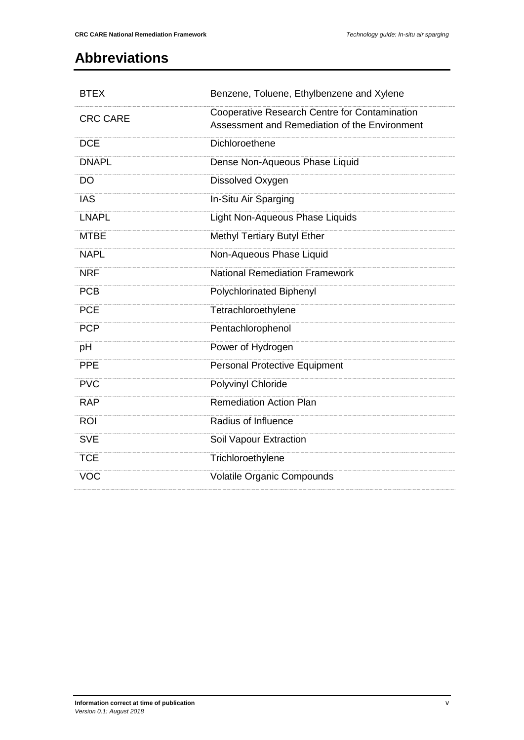## <span id="page-5-0"></span>**Abbreviations**

| <b>BTEX</b>     | Benzene, Toluene, Ethylbenzene and Xylene                                                      |  |  |
|-----------------|------------------------------------------------------------------------------------------------|--|--|
| <b>CRC CARE</b> | Cooperative Research Centre for Contamination<br>Assessment and Remediation of the Environment |  |  |
| <b>DCE</b>      | Dichloroethene                                                                                 |  |  |
| <b>DNAPL</b>    | Dense Non-Aqueous Phase Liquid                                                                 |  |  |
| $\overline{DO}$ | Dissolved Oxygen                                                                               |  |  |
| <b>IAS</b>      | In-Situ Air Sparging                                                                           |  |  |
| <b>LNAPL</b>    | Light Non-Aqueous Phase Liquids                                                                |  |  |
| <b>MTBE</b>     | <b>Methyl Tertiary Butyl Ether</b>                                                             |  |  |
| <b>NAPL</b>     | Non-Aqueous Phase Liquid                                                                       |  |  |
| <b>NRF</b>      | <b>National Remediation Framework</b>                                                          |  |  |
| <b>PCB</b>      | <b>Polychlorinated Biphenyl</b>                                                                |  |  |
| <b>PCE</b>      | Tetrachloroethylene                                                                            |  |  |
| <b>PCP</b>      | Pentachlorophenol                                                                              |  |  |
| pH              | Power of Hydrogen                                                                              |  |  |
| <b>PPE</b>      | Personal Protective Equipment                                                                  |  |  |
| <b>PVC</b>      | Polyvinyl Chloride                                                                             |  |  |
| <b>RAP</b>      | <b>Remediation Action Plan</b>                                                                 |  |  |
| <b>ROI</b>      | Radius of Influence                                                                            |  |  |
| <b>SVE</b>      | Soil Vapour Extraction                                                                         |  |  |
| <b>TCE</b>      | Trichloroethylene                                                                              |  |  |
| <b>VOC</b>      | <b>Volatile Organic Compounds</b>                                                              |  |  |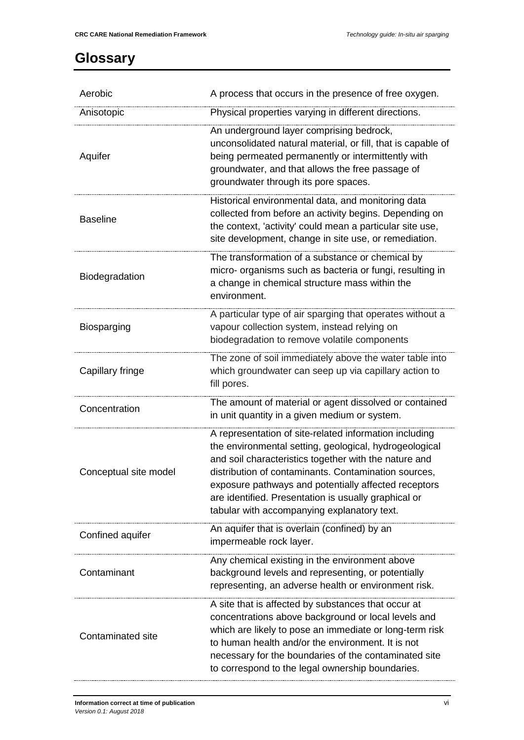## <span id="page-6-0"></span>**Glossary**

| Aerobic               | A process that occurs in the presence of free oxygen.                                                                                                                                                                                                                                                                                                                                            |  |  |  |
|-----------------------|--------------------------------------------------------------------------------------------------------------------------------------------------------------------------------------------------------------------------------------------------------------------------------------------------------------------------------------------------------------------------------------------------|--|--|--|
| Anisotopic            | Physical properties varying in different directions.                                                                                                                                                                                                                                                                                                                                             |  |  |  |
| Aquifer               | An underground layer comprising bedrock,<br>unconsolidated natural material, or fill, that is capable of<br>being permeated permanently or intermittently with<br>groundwater, and that allows the free passage of<br>groundwater through its pore spaces.                                                                                                                                       |  |  |  |
| <b>Baseline</b>       | Historical environmental data, and monitoring data<br>collected from before an activity begins. Depending on<br>the context, 'activity' could mean a particular site use,<br>site development, change in site use, or remediation.                                                                                                                                                               |  |  |  |
| Biodegradation        | The transformation of a substance or chemical by<br>micro- organisms such as bacteria or fungi, resulting in<br>a change in chemical structure mass within the<br>environment.                                                                                                                                                                                                                   |  |  |  |
| Biosparging           | A particular type of air sparging that operates without a<br>vapour collection system, instead relying on<br>biodegradation to remove volatile components                                                                                                                                                                                                                                        |  |  |  |
| Capillary fringe      | The zone of soil immediately above the water table into<br>which groundwater can seep up via capillary action to<br>fill pores.                                                                                                                                                                                                                                                                  |  |  |  |
| Concentration         | The amount of material or agent dissolved or contained<br>in unit quantity in a given medium or system.                                                                                                                                                                                                                                                                                          |  |  |  |
| Conceptual site model | A representation of site-related information including<br>the environmental setting, geological, hydrogeological<br>and soil characteristics together with the nature and<br>distribution of contaminants. Contamination sources,<br>exposure pathways and potentially affected receptors<br>are identified. Presentation is usually graphical or<br>tabular with accompanying explanatory text. |  |  |  |
| Confined aquifer      | An aquifer that is overlain (confined) by an<br>impermeable rock layer.                                                                                                                                                                                                                                                                                                                          |  |  |  |
| Contaminant           | Any chemical existing in the environment above<br>background levels and representing, or potentially<br>representing, an adverse health or environment risk.                                                                                                                                                                                                                                     |  |  |  |
| Contaminated site     | A site that is affected by substances that occur at<br>concentrations above background or local levels and<br>which are likely to pose an immediate or long-term risk<br>to human health and/or the environment. It is not<br>necessary for the boundaries of the contaminated site<br>to correspond to the legal ownership boundaries.                                                          |  |  |  |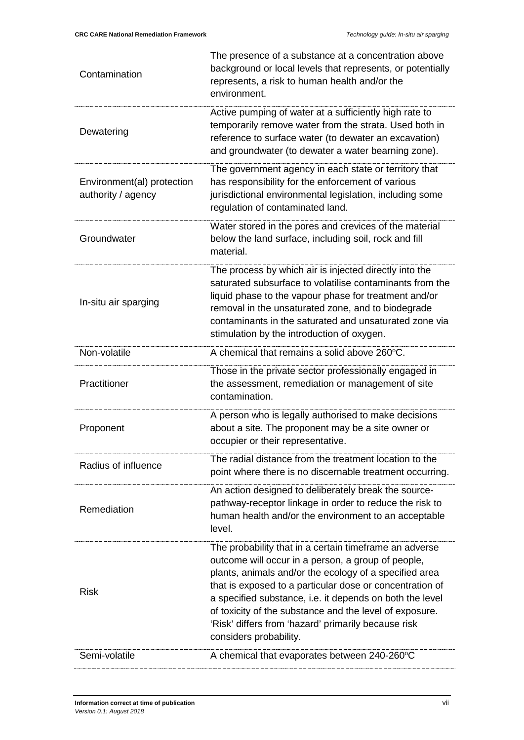| Contamination                                    | The presence of a substance at a concentration above<br>background or local levels that represents, or potentially<br>represents, a risk to human health and/or the<br>environment.                                                                                                                                                                                                                                                        |  |  |  |  |
|--------------------------------------------------|--------------------------------------------------------------------------------------------------------------------------------------------------------------------------------------------------------------------------------------------------------------------------------------------------------------------------------------------------------------------------------------------------------------------------------------------|--|--|--|--|
| Dewatering                                       | Active pumping of water at a sufficiently high rate to<br>temporarily remove water from the strata. Used both in<br>reference to surface water (to dewater an excavation)<br>and groundwater (to dewater a water bearning zone).                                                                                                                                                                                                           |  |  |  |  |
| Environment(al) protection<br>authority / agency | The government agency in each state or territory that<br>has responsibility for the enforcement of various<br>jurisdictional environmental legislation, including some<br>regulation of contaminated land.                                                                                                                                                                                                                                 |  |  |  |  |
| Groundwater                                      | Water stored in the pores and crevices of the material<br>below the land surface, including soil, rock and fill<br>material.                                                                                                                                                                                                                                                                                                               |  |  |  |  |
| In-situ air sparging                             | The process by which air is injected directly into the<br>saturated subsurface to volatilise contaminants from the<br>liquid phase to the vapour phase for treatment and/or<br>removal in the unsaturated zone, and to biodegrade<br>contaminants in the saturated and unsaturated zone via<br>stimulation by the introduction of oxygen.                                                                                                  |  |  |  |  |
| Non-volatile                                     | A chemical that remains a solid above 260°C.                                                                                                                                                                                                                                                                                                                                                                                               |  |  |  |  |
| Practitioner                                     | Those in the private sector professionally engaged in<br>the assessment, remediation or management of site<br>contamination.                                                                                                                                                                                                                                                                                                               |  |  |  |  |
| Proponent                                        | A person who is legally authorised to make decisions<br>about a site. The proponent may be a site owner or<br>occupier or their representative.                                                                                                                                                                                                                                                                                            |  |  |  |  |
| Radius of influence                              | The radial distance from the treatment location to the<br>point where there is no discernable treatment occurring.                                                                                                                                                                                                                                                                                                                         |  |  |  |  |
| Remediation                                      | An action designed to deliberately break the source-<br>pathway-receptor linkage in order to reduce the risk to<br>human health and/or the environment to an acceptable<br>level.                                                                                                                                                                                                                                                          |  |  |  |  |
| <b>Risk</b>                                      | The probability that in a certain timeframe an adverse<br>outcome will occur in a person, a group of people,<br>plants, animals and/or the ecology of a specified area<br>that is exposed to a particular dose or concentration of<br>a specified substance, i.e. it depends on both the level<br>of toxicity of the substance and the level of exposure.<br>'Risk' differs from 'hazard' primarily because risk<br>considers probability. |  |  |  |  |
| Semi-volatile                                    | A chemical that evaporates between 240-260°C                                                                                                                                                                                                                                                                                                                                                                                               |  |  |  |  |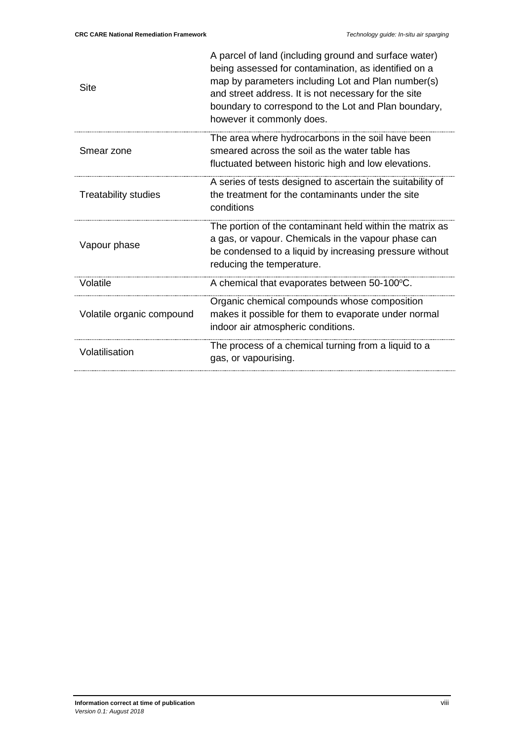| <b>Site</b>                 | A parcel of land (including ground and surface water)<br>being assessed for contamination, as identified on a<br>map by parameters including Lot and Plan number(s)<br>and street address. It is not necessary for the site<br>boundary to correspond to the Lot and Plan boundary,<br>however it commonly does. |
|-----------------------------|------------------------------------------------------------------------------------------------------------------------------------------------------------------------------------------------------------------------------------------------------------------------------------------------------------------|
| Smear zone                  | The area where hydrocarbons in the soil have been<br>smeared across the soil as the water table has<br>fluctuated between historic high and low elevations.                                                                                                                                                      |
| <b>Treatability studies</b> | A series of tests designed to ascertain the suitability of<br>the treatment for the contaminants under the site<br>conditions                                                                                                                                                                                    |
| Vapour phase                | The portion of the contaminant held within the matrix as<br>a gas, or vapour. Chemicals in the vapour phase can<br>be condensed to a liquid by increasing pressure without<br>reducing the temperature.                                                                                                          |
| Volatile                    | A chemical that evaporates between 50-100°C.                                                                                                                                                                                                                                                                     |
| Volatile organic compound   | Organic chemical compounds whose composition<br>makes it possible for them to evaporate under normal<br>indoor air atmospheric conditions.                                                                                                                                                                       |
| Volatilisation              | The process of a chemical turning from a liquid to a<br>gas, or vapourising.                                                                                                                                                                                                                                     |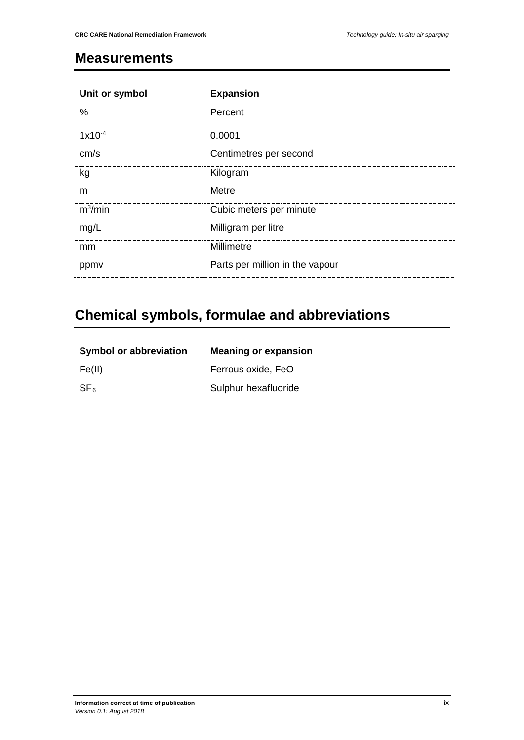### <span id="page-9-0"></span>**Measurements**

| Unit or symbol | <b>Expansion</b>                |
|----------------|---------------------------------|
| $\%$           | Percent                         |
| $1x10^{-4}$    | 0.0001                          |
| cm/s           | Centimetres per second          |
| kg             | Kilogram                        |
| m              | Metre                           |
| $m^3/m$ in     | Cubic meters per minute         |
| mg/L           | Milligram per litre             |
| mm             | Millimetre                      |
| ppmy           | Parts per million in the vapour |

# <span id="page-9-1"></span>**Chemical symbols, formulae and abbreviations**

| <b>Symbol or abbreviation</b> | <b>Meaning or expansion</b> |
|-------------------------------|-----------------------------|
|                               | Ferrous oxide, FeO          |
|                               | Sulphur hexafluoride        |
|                               |                             |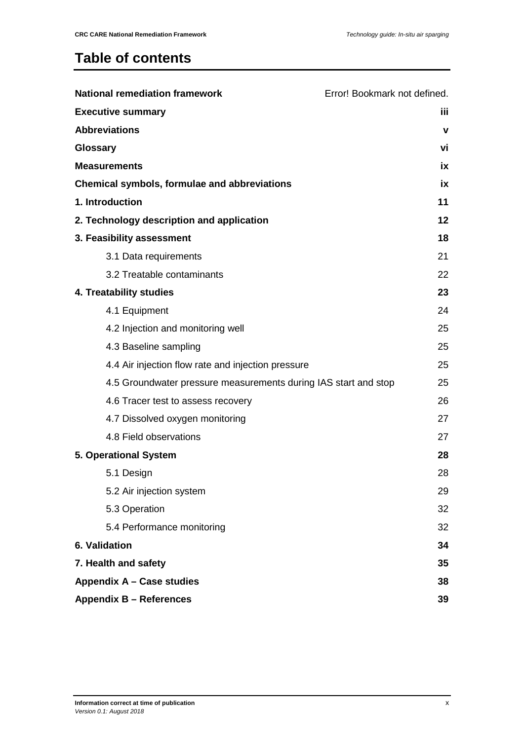### **Table of contents**

| <b>National remediation framework</b>                           | Error! Bookmark not defined. |  |  |  |
|-----------------------------------------------------------------|------------------------------|--|--|--|
| <b>Executive summary</b>                                        | iii.                         |  |  |  |
| <b>Abbreviations</b>                                            | $\mathbf v$                  |  |  |  |
| Glossary                                                        | vi                           |  |  |  |
| <b>Measurements</b>                                             | iх                           |  |  |  |
| Chemical symbols, formulae and abbreviations                    | ix                           |  |  |  |
| 1. Introduction                                                 | 11                           |  |  |  |
| 2. Technology description and application                       | 12                           |  |  |  |
| 3. Feasibility assessment                                       | 18                           |  |  |  |
| 3.1 Data requirements                                           | 21                           |  |  |  |
| 3.2 Treatable contaminants                                      | 22                           |  |  |  |
| 4. Treatability studies                                         | 23                           |  |  |  |
| 4.1 Equipment                                                   | 24                           |  |  |  |
| 4.2 Injection and monitoring well                               | 25                           |  |  |  |
| 4.3 Baseline sampling                                           | 25                           |  |  |  |
| 4.4 Air injection flow rate and injection pressure              | 25                           |  |  |  |
| 4.5 Groundwater pressure measurements during IAS start and stop | 25                           |  |  |  |
| 4.6 Tracer test to assess recovery                              | 26                           |  |  |  |
| 4.7 Dissolved oxygen monitoring                                 | 27                           |  |  |  |
| 4.8 Field observations                                          | 27                           |  |  |  |
| 5. Operational System                                           | 28                           |  |  |  |
| 5.1 Design                                                      | 28                           |  |  |  |
| 5.2 Air injection system                                        | 29                           |  |  |  |
| 5.3 Operation                                                   | 32                           |  |  |  |
| 5.4 Performance monitoring                                      | 32                           |  |  |  |
| 6. Validation                                                   |                              |  |  |  |
| 7. Health and safety                                            |                              |  |  |  |
| Appendix A - Case studies                                       | 38                           |  |  |  |
| <b>Appendix B - References</b><br>39                            |                              |  |  |  |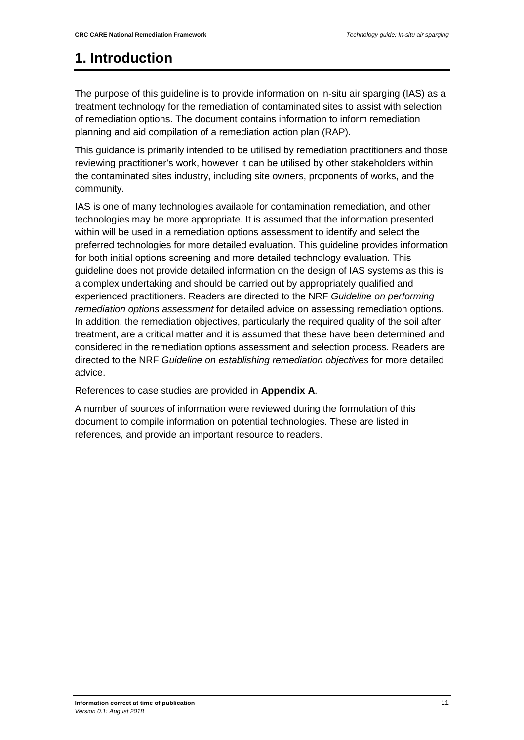## <span id="page-11-0"></span>**1. Introduction**

The purpose of this guideline is to provide information on in-situ air sparging (IAS) as a treatment technology for the remediation of contaminated sites to assist with selection of remediation options. The document contains information to inform remediation planning and aid compilation of a remediation action plan (RAP).

This guidance is primarily intended to be utilised by remediation practitioners and those reviewing practitioner's work, however it can be utilised by other stakeholders within the contaminated sites industry, including site owners, proponents of works, and the community.

IAS is one of many technologies available for contamination remediation, and other technologies may be more appropriate. It is assumed that the information presented within will be used in a remediation options assessment to identify and select the preferred technologies for more detailed evaluation. This guideline provides information for both initial options screening and more detailed technology evaluation. This guideline does not provide detailed information on the design of IAS systems as this is a complex undertaking and should be carried out by appropriately qualified and experienced practitioners. Readers are directed to the NRF *Guideline on performing remediation options assessment* for detailed advice on assessing remediation options. In addition, the remediation objectives, particularly the required quality of the soil after treatment, are a critical matter and it is assumed that these have been determined and considered in the remediation options assessment and selection process. Readers are directed to the NRF *Guideline on establishing remediation objectives* for more detailed advice.

References to case studies are provided in **Appendix A**.

A number of sources of information were reviewed during the formulation of this document to compile information on potential technologies. These are listed in references, and provide an important resource to readers.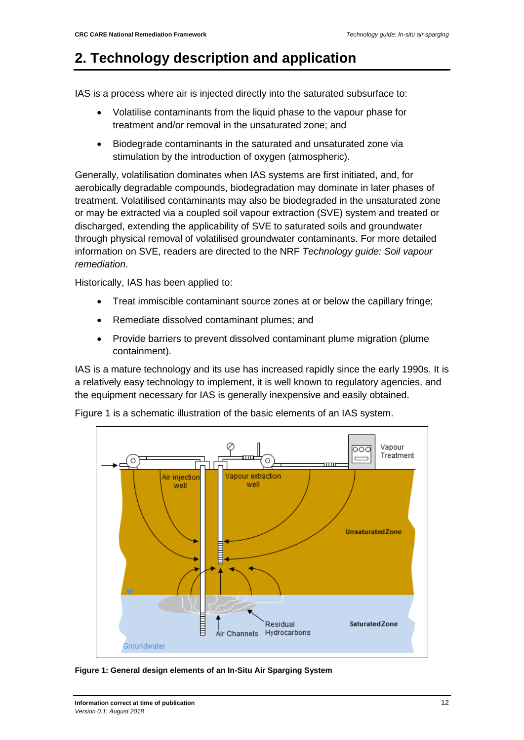### <span id="page-12-0"></span>**2. Technology description and application**

IAS is a process where air is injected directly into the saturated subsurface to:

- Volatilise contaminants from the liquid phase to the vapour phase for treatment and/or removal in the unsaturated zone; and
- Biodegrade contaminants in the saturated and unsaturated zone via stimulation by the introduction of oxygen (atmospheric).

Generally, volatilisation dominates when IAS systems are first initiated, and, for aerobically degradable compounds, biodegradation may dominate in later phases of treatment. Volatilised contaminants may also be biodegraded in the unsaturated zone or may be extracted via a coupled soil vapour extraction (SVE) system and treated or discharged, extending the applicability of SVE to saturated soils and groundwater through physical removal of volatilised groundwater contaminants. For more detailed information on SVE, readers are directed to the NRF *Technology guide: Soil vapour remediation*.

Historically, IAS has been applied to:

- Treat immiscible contaminant source zones at or below the capillary fringe;
- Remediate dissolved contaminant plumes; and
- Provide barriers to prevent dissolved contaminant plume migration (plume containment).

IAS is a mature technology and its use has increased rapidly since the early 1990s. It is a relatively easy technology to implement, it is well known to regulatory agencies, and the equipment necessary for IAS is generally inexpensive and easily obtained.

Figure 1 is a schematic illustration of the basic elements of an IAS system.



**Figure 1: General design elements of an In-Situ Air Sparging System**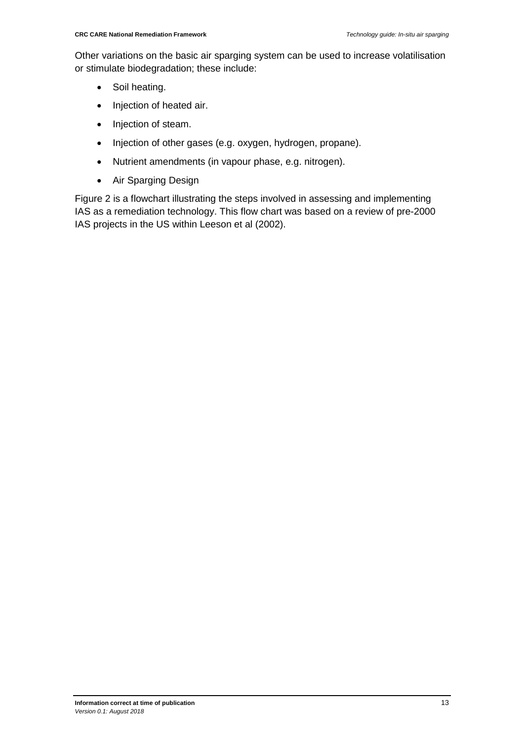Other variations on the basic air sparging system can be used to increase volatilisation or stimulate biodegradation; these include:

- Soil heating.
- Injection of heated air.
- Injection of steam.
- Injection of other gases (e.g. oxygen, hydrogen, propane).
- Nutrient amendments (in vapour phase, e.g. nitrogen).
- Air Sparging Design

Figure 2 is a flowchart illustrating the steps involved in assessing and implementing IAS as a remediation technology. This flow chart was based on a review of pre-2000 IAS projects in the US within Leeson et al (2002).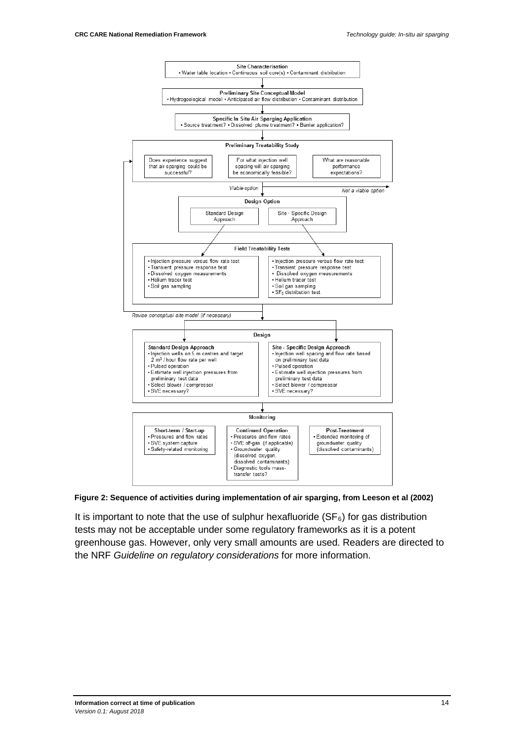

**Figure 2: Sequence of activities during implementation of air sparging, from Leeson et al (2002)**

It is important to note that the use of sulphur hexafluoride  $(SF_6)$  for gas distribution tests may not be acceptable under some regulatory frameworks as it is a potent greenhouse gas. However, only very small amounts are used. Readers are directed to the NRF *Guideline on regulatory considerations* for more information.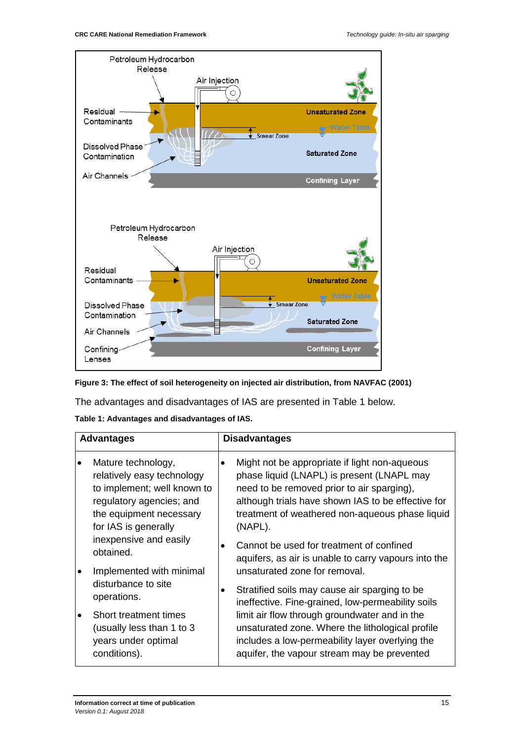

**Figure 3: The effect of soil heterogeneity on injected air distribution, from NAVFAC (2001)** 

The advantages and disadvantages of IAS are presented in Table 1 below.

|  |  | Table 1: Advantages and disadvantages of IAS. |  |
|--|--|-----------------------------------------------|--|
|--|--|-----------------------------------------------|--|

| <b>Advantages</b> |                                                                                                                                                                |           | <b>Disadvantages</b>                                                                                                                                                                                                                                                                                      |  |
|-------------------|----------------------------------------------------------------------------------------------------------------------------------------------------------------|-----------|-----------------------------------------------------------------------------------------------------------------------------------------------------------------------------------------------------------------------------------------------------------------------------------------------------------|--|
|                   | Mature technology,<br>relatively easy technology<br>to implement; well known to<br>regulatory agencies; and<br>the equipment necessary<br>for IAS is generally | $\bullet$ | Might not be appropriate if light non-aqueous<br>phase liquid (LNAPL) is present (LNAPL may<br>need to be removed prior to air sparging),<br>although trials have shown IAS to be effective for<br>treatment of weathered non-aqueous phase liquid<br>(NAPL).                                             |  |
|                   | inexpensive and easily<br>obtained.<br>Implemented with minimal                                                                                                |           | Cannot be used for treatment of confined<br>aquifers, as air is unable to carry vapours into the<br>unsaturated zone for removal.                                                                                                                                                                         |  |
|                   | disturbance to site<br>operations.<br>Short treatment times<br>(usually less than 1 to 3<br>years under optimal<br>conditions).                                |           | Stratified soils may cause air sparging to be<br>ineffective. Fine-grained, low-permeability soils<br>limit air flow through groundwater and in the<br>unsaturated zone. Where the lithological profile<br>includes a low-permeability layer overlying the<br>aquifer, the vapour stream may be prevented |  |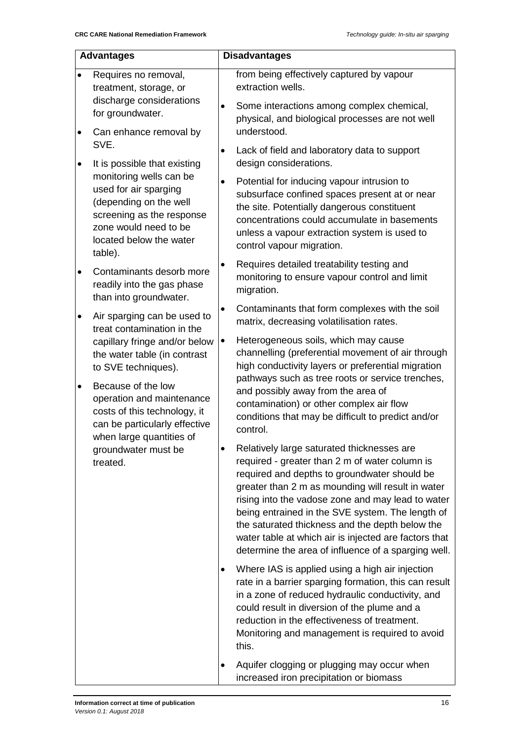| <b>Advantages</b> |                                                                                                                                                                                                                | <b>Disadvantages</b>   |                                                                                                                                                                                                                                                                                                                                                                                                                                                                               |  |
|-------------------|----------------------------------------------------------------------------------------------------------------------------------------------------------------------------------------------------------------|------------------------|-------------------------------------------------------------------------------------------------------------------------------------------------------------------------------------------------------------------------------------------------------------------------------------------------------------------------------------------------------------------------------------------------------------------------------------------------------------------------------|--|
| $\bullet$<br>٠    | Requires no removal,<br>treatment, storage, or<br>discharge considerations<br>for groundwater.<br>Can enhance removal by                                                                                       | $\bullet$              | from being effectively captured by vapour<br>extraction wells.<br>Some interactions among complex chemical,<br>physical, and biological processes are not well<br>understood.                                                                                                                                                                                                                                                                                                 |  |
| ٠                 | SVE.<br>It is possible that existing<br>monitoring wells can be<br>used for air sparging<br>(depending on the well<br>screening as the response<br>zone would need to be<br>located below the water<br>table). | $\bullet$<br>$\bullet$ | Lack of field and laboratory data to support<br>design considerations.<br>Potential for inducing vapour intrusion to<br>subsurface confined spaces present at or near<br>the site. Potentially dangerous constituent<br>concentrations could accumulate in basements<br>unless a vapour extraction system is used to<br>control vapour migration.                                                                                                                             |  |
| $\bullet$         | Contaminants desorb more<br>readily into the gas phase<br>than into groundwater.                                                                                                                               | ٠                      | Requires detailed treatability testing and<br>monitoring to ensure vapour control and limit<br>migration.                                                                                                                                                                                                                                                                                                                                                                     |  |
| $\bullet$         | Air sparging can be used to<br>treat contamination in the<br>capillary fringe and/or below<br>the water table (in contrast<br>to SVE techniques).                                                              | ٠<br>٠                 | Contaminants that form complexes with the soil<br>matrix, decreasing volatilisation rates.<br>Heterogeneous soils, which may cause<br>channelling (preferential movement of air through<br>high conductivity layers or preferential migration<br>pathways such as tree roots or service trenches,                                                                                                                                                                             |  |
| $\bullet$         | Because of the low<br>operation and maintenance<br>costs of this technology, it<br>can be particularly effective<br>when large quantities of<br>groundwater must be<br>treated.                                |                        | and possibly away from the area of<br>contamination) or other complex air flow<br>conditions that may be difficult to predict and/or<br>control.                                                                                                                                                                                                                                                                                                                              |  |
|                   |                                                                                                                                                                                                                |                        | Relatively large saturated thicknesses are<br>required - greater than 2 m of water column is<br>required and depths to groundwater should be<br>greater than 2 m as mounding will result in water<br>rising into the vadose zone and may lead to water<br>being entrained in the SVE system. The length of<br>the saturated thickness and the depth below the<br>water table at which air is injected are factors that<br>determine the area of influence of a sparging well. |  |
|                   |                                                                                                                                                                                                                |                        | Where IAS is applied using a high air injection<br>rate in a barrier sparging formation, this can result<br>in a zone of reduced hydraulic conductivity, and<br>could result in diversion of the plume and a<br>reduction in the effectiveness of treatment.<br>Monitoring and management is required to avoid<br>this.                                                                                                                                                       |  |
|                   |                                                                                                                                                                                                                |                        | Aquifer clogging or plugging may occur when<br>increased iron precipitation or biomass                                                                                                                                                                                                                                                                                                                                                                                        |  |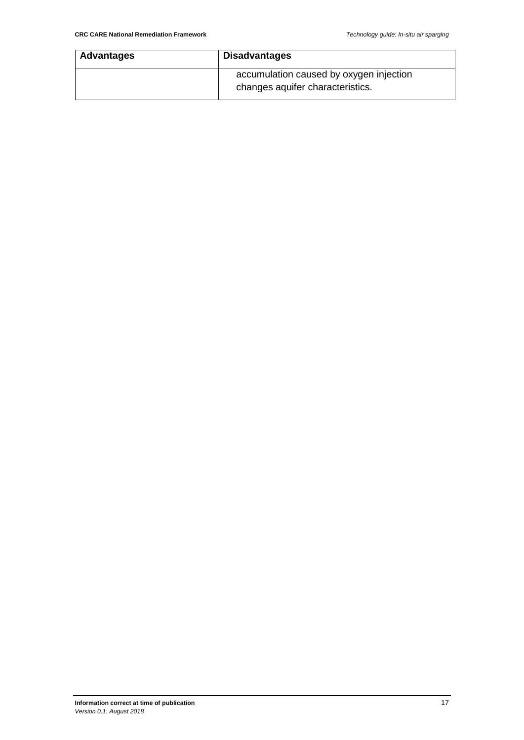| <b>Advantages</b> | <b>Disadvantages</b>                                                        |  |
|-------------------|-----------------------------------------------------------------------------|--|
|                   | accumulation caused by oxygen injection<br>changes aquifer characteristics. |  |
|                   |                                                                             |  |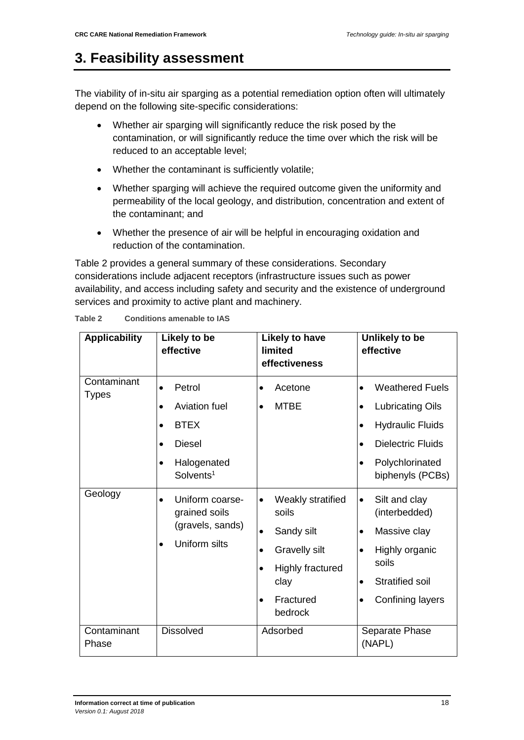### <span id="page-18-0"></span>**3. Feasibility assessment**

The viability of in-situ air sparging as a potential remediation option often will ultimately depend on the following site-specific considerations:

- Whether air sparging will significantly reduce the risk posed by the contamination, or will significantly reduce the time over which the risk will be reduced to an acceptable level;
- Whether the contaminant is sufficiently volatile;
- Whether sparging will achieve the required outcome given the uniformity and permeability of the local geology, and distribution, concentration and extent of the contaminant; and
- Whether the presence of air will be helpful in encouraging oxidation and reduction of the contamination.

Table 2 provides a general summary of these considerations. Secondary considerations include adjacent receptors (infrastructure issues such as power availability, and access including safety and security and the existence of underground services and proximity to active plant and machinery.

| <b>Applicability</b>        | Likely to be<br>effective                                                                                                                                        | <b>Likely to have</b><br>limited<br>effectiveness                                                                                                                                     | Unlikely to be<br>effective                                                                                                                                                                                      |
|-----------------------------|------------------------------------------------------------------------------------------------------------------------------------------------------------------|---------------------------------------------------------------------------------------------------------------------------------------------------------------------------------------|------------------------------------------------------------------------------------------------------------------------------------------------------------------------------------------------------------------|
| Contaminant<br><b>Types</b> | Petrol<br>$\bullet$<br>Aviation fuel<br>$\bullet$<br><b>BTEX</b><br>$\bullet$<br><b>Diesel</b><br>$\bullet$<br>Halogenated<br>$\bullet$<br>Solvents <sup>1</sup> | Acetone<br>$\bullet$<br><b>MTBE</b><br>$\bullet$                                                                                                                                      | <b>Weathered Fuels</b><br>$\bullet$<br><b>Lubricating Oils</b><br>$\bullet$<br><b>Hydraulic Fluids</b><br>$\bullet$<br><b>Dielectric Fluids</b><br>$\bullet$<br>Polychlorinated<br>$\bullet$<br>biphenyls (PCBs) |
| Geology                     | Uniform coarse-<br>$\bullet$<br>grained soils<br>(gravels, sands)<br>Uniform silts<br>$\bullet$                                                                  | Weakly stratified<br>$\bullet$<br>soils<br>Sandy silt<br>$\bullet$<br><b>Gravelly silt</b><br>$\bullet$<br>Highly fractured<br>$\bullet$<br>clay<br>Fractured<br>$\bullet$<br>bedrock | Silt and clay<br>$\bullet$<br>(interbedded)<br>Massive clay<br>$\bullet$<br>Highly organic<br>$\bullet$<br>soils<br><b>Stratified soil</b><br>$\bullet$<br>Confining layers<br>$\bullet$                         |
| Contaminant<br>Phase        | <b>Dissolved</b>                                                                                                                                                 | Adsorbed                                                                                                                                                                              | Separate Phase<br>(NAPL)                                                                                                                                                                                         |

**Table 2 Conditions amenable to IAS**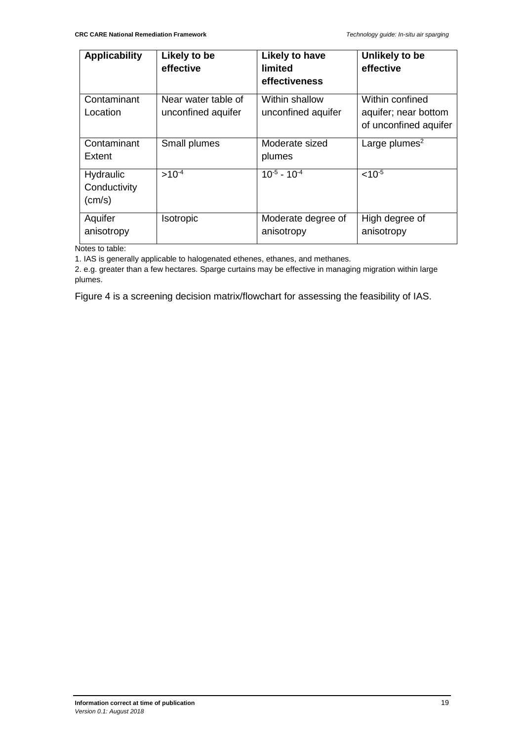| <b>Applicability</b>                         | Likely to be<br>effective                 | Likely to have<br>limited<br>effectiveness | Unlikely to be<br>effective                                      |
|----------------------------------------------|-------------------------------------------|--------------------------------------------|------------------------------------------------------------------|
| Contaminant<br>Location                      | Near water table of<br>unconfined aquifer | Within shallow<br>unconfined aquifer       | Within confined<br>aquifer; near bottom<br>of unconfined aquifer |
| Contaminant<br>Extent                        | Small plumes                              | Moderate sized<br>plumes                   | Large plumes <sup>2</sup>                                        |
| Hydraulic<br>Conductivity<br>$\text{(cm/s)}$ | $>10^{-4}$                                | $10^{-5}$ - 10 <sup>-4</sup>               | $< 10^{-5}$                                                      |
| Aquifer<br>anisotropy                        | Isotropic                                 | Moderate degree of<br>anisotropy           | High degree of<br>anisotropy                                     |

Notes to table:

1. IAS is generally applicable to halogenated ethenes, ethanes, and methanes.

2. e.g. greater than a few hectares. Sparge curtains may be effective in managing migration within large plumes.

Figure 4 is a screening decision matrix/flowchart for assessing the feasibility of IAS.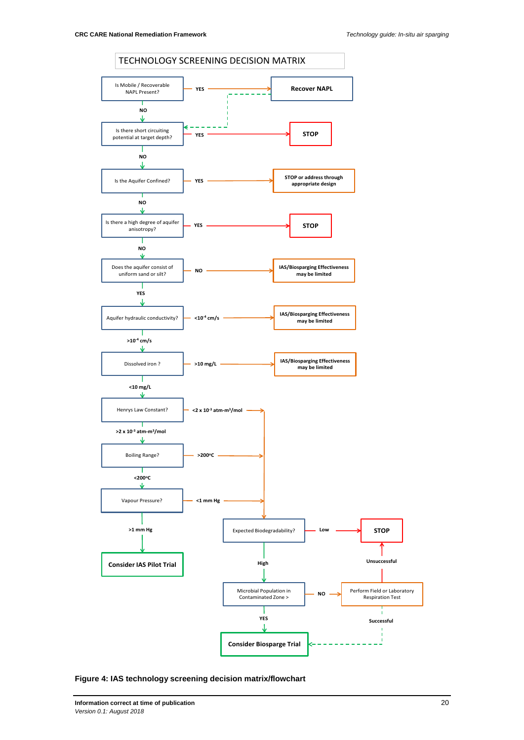

**Figure 4: IAS technology screening decision matrix/flowchart**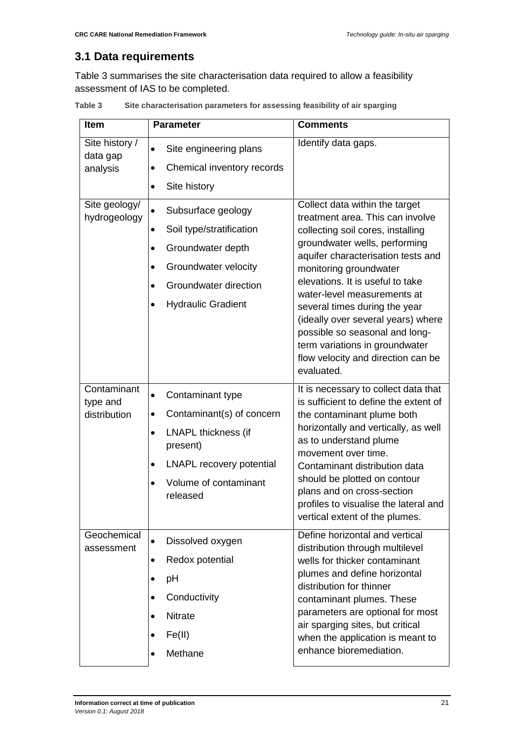#### <span id="page-21-0"></span>**3.1 Data requirements**

Table 3 summarises the site characterisation data required to allow a feasibility assessment of IAS to be completed.

| <b>Item</b>                             | <b>Parameter</b>                                                                                                                                                                                                         | <b>Comments</b>                                                                                                                                                                                                                                                                                                                                                                                                                                                            |
|-----------------------------------------|--------------------------------------------------------------------------------------------------------------------------------------------------------------------------------------------------------------------------|----------------------------------------------------------------------------------------------------------------------------------------------------------------------------------------------------------------------------------------------------------------------------------------------------------------------------------------------------------------------------------------------------------------------------------------------------------------------------|
| Site history /<br>data gap<br>analysis  | Site engineering plans<br>Chemical inventory records<br>Site history<br>$\bullet$                                                                                                                                        | Identify data gaps.                                                                                                                                                                                                                                                                                                                                                                                                                                                        |
| Site geology/<br>hydrogeology           | Subsurface geology<br>$\bullet$<br>Soil type/stratification<br>٠<br>Groundwater depth<br>$\bullet$<br>Groundwater velocity<br>$\bullet$<br>Groundwater direction<br>$\bullet$<br><b>Hydraulic Gradient</b><br>$\bullet$  | Collect data within the target<br>treatment area. This can involve<br>collecting soil cores, installing<br>groundwater wells, performing<br>aquifer characterisation tests and<br>monitoring groundwater<br>elevations. It is useful to take<br>water-level measurements at<br>several times during the year<br>(ideally over several years) where<br>possible so seasonal and long-<br>term variations in groundwater<br>flow velocity and direction can be<br>evaluated. |
| Contaminant<br>type and<br>distribution | Contaminant type<br>$\bullet$<br>Contaminant(s) of concern<br>$\bullet$<br><b>LNAPL thickness (if</b><br>$\bullet$<br>present)<br><b>LNAPL recovery potential</b><br>٠<br>Volume of contaminant<br>$\bullet$<br>released | It is necessary to collect data that<br>is sufficient to define the extent of<br>the contaminant plume both<br>horizontally and vertically, as well<br>as to understand plume<br>movement over time.<br>Contaminant distribution data<br>should be plotted on contour<br>plans and on cross-section<br>profiles to visualise the lateral and<br>vertical extent of the plumes.                                                                                             |
| Geochemical<br>assessment               | Dissolved oxygen<br>$\bullet$<br>Redox potential<br>$\bullet$<br>pH<br>$\bullet$<br>Conductivity<br>$\bullet$<br><b>Nitrate</b><br>Fe(II)<br>$\bullet$<br>Methane                                                        | Define horizontal and vertical<br>distribution through multilevel<br>wells for thicker contaminant<br>plumes and define horizontal<br>distribution for thinner<br>contaminant plumes. These<br>parameters are optional for most<br>air sparging sites, but critical<br>when the application is meant to<br>enhance bioremediation.                                                                                                                                         |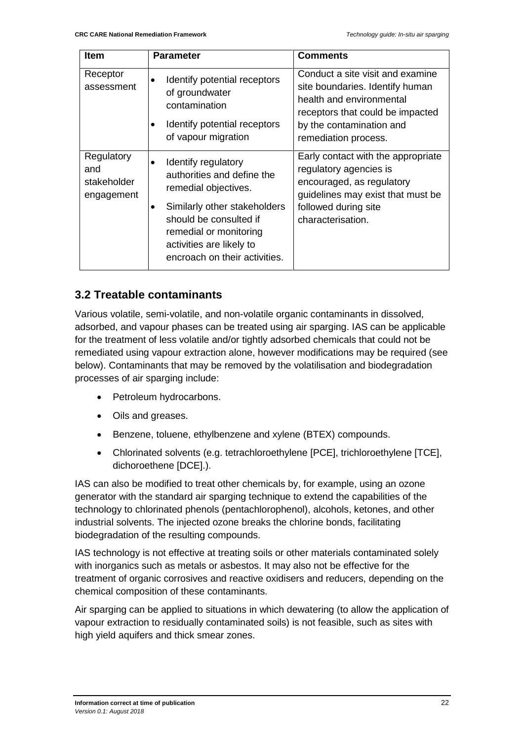| <b>Item</b>                                    | <b>Parameter</b>                                                                                                                                                                                                           | <b>Comments</b>                                                                                                                                                                         |
|------------------------------------------------|----------------------------------------------------------------------------------------------------------------------------------------------------------------------------------------------------------------------------|-----------------------------------------------------------------------------------------------------------------------------------------------------------------------------------------|
| Receptor<br>assessment                         | Identify potential receptors<br>of groundwater<br>contamination<br>Identify potential receptors<br>of vapour migration                                                                                                     | Conduct a site visit and examine<br>site boundaries. Identify human<br>health and environmental<br>receptors that could be impacted<br>by the contamination and<br>remediation process. |
| Regulatory<br>and<br>stakeholder<br>engagement | Identify regulatory<br>authorities and define the<br>remedial objectives.<br>Similarly other stakeholders<br>should be consulted if<br>remedial or monitoring<br>activities are likely to<br>encroach on their activities. | Early contact with the appropriate<br>regulatory agencies is<br>encouraged, as regulatory<br>guidelines may exist that must be<br>followed during site<br>characterisation.             |

#### <span id="page-22-0"></span>**3.2 Treatable contaminants**

Various volatile, semi-volatile, and non-volatile organic contaminants in dissolved, adsorbed, and vapour phases can be treated using air sparging. IAS can be applicable for the treatment of less volatile and/or tightly adsorbed chemicals that could not be remediated using vapour extraction alone, however modifications may be required (see below). Contaminants that may be removed by the volatilisation and biodegradation processes of air sparging include:

- Petroleum hydrocarbons.
- Oils and greases.
- Benzene, toluene, ethylbenzene and xylene (BTEX) compounds.
- Chlorinated solvents (e.g. tetrachloroethylene [PCE], trichloroethylene [TCE], dichoroethene [DCE].).

IAS can also be modified to treat other chemicals by, for example, using an ozone generator with the standard air sparging technique to extend the capabilities of the technology to chlorinated phenols (pentachlorophenol), alcohols, ketones, and other industrial solvents. The injected ozone breaks the chlorine bonds, facilitating biodegradation of the resulting compounds.

IAS technology is not effective at treating soils or other materials contaminated solely with inorganics such as metals or asbestos. It may also not be effective for the treatment of organic corrosives and reactive oxidisers and reducers, depending on the chemical composition of these contaminants.

Air sparging can be applied to situations in which dewatering (to allow the application of vapour extraction to residually contaminated soils) is not feasible, such as sites with high yield aquifers and thick smear zones.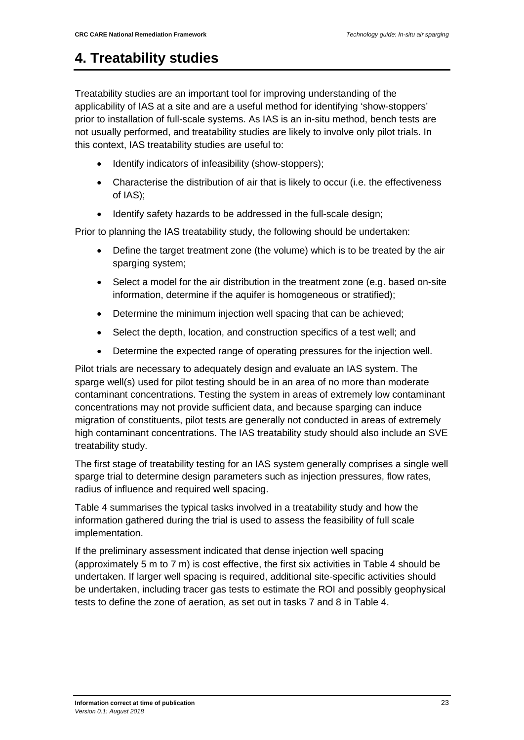### <span id="page-23-0"></span>**4. Treatability studies**

Treatability studies are an important tool for improving understanding of the applicability of IAS at a site and are a useful method for identifying 'show-stoppers' prior to installation of full-scale systems. As IAS is an in-situ method, bench tests are not usually performed, and treatability studies are likely to involve only pilot trials. In this context, IAS treatability studies are useful to:

- Identify indicators of infeasibility (show-stoppers):
- Characterise the distribution of air that is likely to occur (i.e. the effectiveness of IAS);
- Identify safety hazards to be addressed in the full-scale design;

Prior to planning the IAS treatability study, the following should be undertaken:

- Define the target treatment zone (the volume) which is to be treated by the air sparging system;
- Select a model for the air distribution in the treatment zone (e.g. based on-site information, determine if the aquifer is homogeneous or stratified);
- Determine the minimum injection well spacing that can be achieved;
- Select the depth, location, and construction specifics of a test well; and
- Determine the expected range of operating pressures for the injection well.

Pilot trials are necessary to adequately design and evaluate an IAS system. The sparge well(s) used for pilot testing should be in an area of no more than moderate contaminant concentrations. Testing the system in areas of extremely low contaminant concentrations may not provide sufficient data, and because sparging can induce migration of constituents, pilot tests are generally not conducted in areas of extremely high contaminant concentrations. The IAS treatability study should also include an SVE treatability study.

The first stage of treatability testing for an IAS system generally comprises a single well sparge trial to determine design parameters such as injection pressures, flow rates, radius of influence and required well spacing.

Table 4 summarises the typical tasks involved in a treatability study and how the information gathered during the trial is used to assess the feasibility of full scale implementation.

If the preliminary assessment indicated that dense injection well spacing (approximately 5 m to 7 m) is cost effective, the first six activities in Table 4 should be undertaken. If larger well spacing is required, additional site-specific activities should be undertaken, including tracer gas tests to estimate the ROI and possibly geophysical tests to define the zone of aeration, as set out in tasks 7 and 8 in Table 4.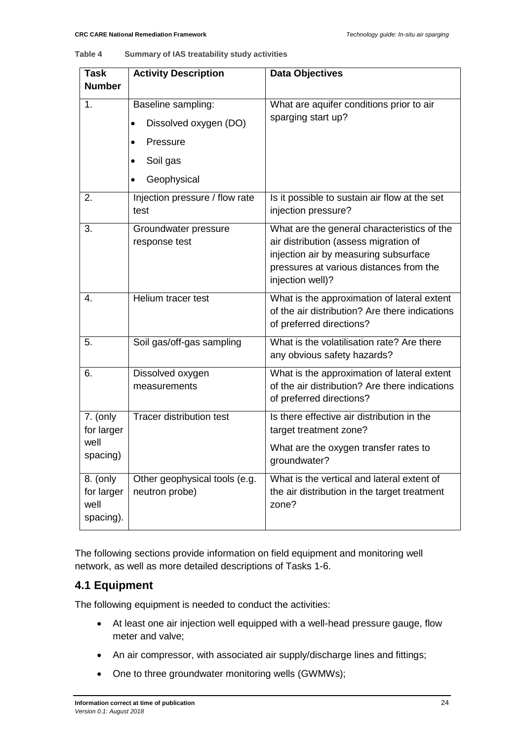#### **Table 4 Summary of IAS treatability study activities**

| <b>Task</b>                                 | <b>Activity Description</b>                                        | <b>Data Objectives</b>                                                                                                                                                                       |
|---------------------------------------------|--------------------------------------------------------------------|----------------------------------------------------------------------------------------------------------------------------------------------------------------------------------------------|
| <b>Number</b>                               |                                                                    |                                                                                                                                                                                              |
| 1.                                          | Baseline sampling:<br>Dissolved oxygen (DO)<br>$\bullet$           | What are aquifer conditions prior to air<br>sparging start up?                                                                                                                               |
|                                             | Pressure<br>$\bullet$<br>Soil gas<br>٠<br>Geophysical<br>$\bullet$ |                                                                                                                                                                                              |
| 2.                                          | Injection pressure / flow rate<br>test                             | Is it possible to sustain air flow at the set<br>injection pressure?                                                                                                                         |
| 3.                                          | Groundwater pressure<br>response test                              | What are the general characteristics of the<br>air distribution (assess migration of<br>injection air by measuring subsurface<br>pressures at various distances from the<br>injection well)? |
| 4.                                          | Helium tracer test                                                 | What is the approximation of lateral extent<br>of the air distribution? Are there indications<br>of preferred directions?                                                                    |
| 5.                                          | Soil gas/off-gas sampling                                          | What is the volatilisation rate? Are there<br>any obvious safety hazards?                                                                                                                    |
| 6.                                          | Dissolved oxygen<br>measurements                                   | What is the approximation of lateral extent<br>of the air distribution? Are there indications<br>of preferred directions?                                                                    |
| 7. (only<br>for larger                      | <b>Tracer distribution test</b>                                    | Is there effective air distribution in the<br>target treatment zone?                                                                                                                         |
| well<br>spacing)                            |                                                                    | What are the oxygen transfer rates to<br>groundwater?                                                                                                                                        |
| 8. (only<br>for larger<br>well<br>spacing). | Other geophysical tools (e.g.<br>neutron probe)                    | What is the vertical and lateral extent of<br>the air distribution in the target treatment<br>zone?                                                                                          |

The following sections provide information on field equipment and monitoring well network, as well as more detailed descriptions of Tasks 1-6.

#### <span id="page-24-0"></span>**4.1 Equipment**

The following equipment is needed to conduct the activities:

- At least one air injection well equipped with a well-head pressure gauge, flow meter and valve;
- An air compressor, with associated air supply/discharge lines and fittings;
- One to three groundwater monitoring wells (GWMWs);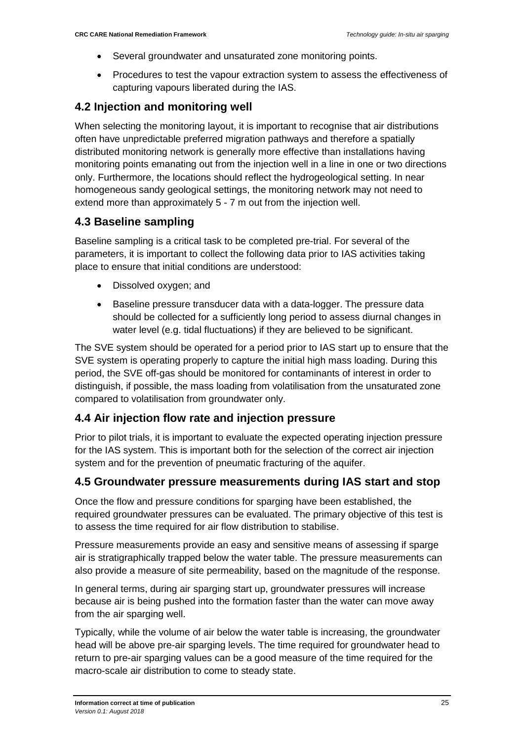- Several groundwater and unsaturated zone monitoring points.
- Procedures to test the vapour extraction system to assess the effectiveness of capturing vapours liberated during the IAS.

#### <span id="page-25-0"></span>**4.2 Injection and monitoring well**

When selecting the monitoring layout, it is important to recognise that air distributions often have unpredictable preferred migration pathways and therefore a spatially distributed monitoring network is generally more effective than installations having monitoring points emanating out from the injection well in a line in one or two directions only. Furthermore, the locations should reflect the hydrogeological setting. In near homogeneous sandy geological settings, the monitoring network may not need to extend more than approximately 5 - 7 m out from the injection well.

#### <span id="page-25-1"></span>**4.3 Baseline sampling**

Baseline sampling is a critical task to be completed pre-trial. For several of the parameters, it is important to collect the following data prior to IAS activities taking place to ensure that initial conditions are understood:

- Dissolved oxygen; and
- Baseline pressure transducer data with a data-logger. The pressure data should be collected for a sufficiently long period to assess diurnal changes in water level (e.g. tidal fluctuations) if they are believed to be significant.

The SVE system should be operated for a period prior to IAS start up to ensure that the SVE system is operating properly to capture the initial high mass loading. During this period, the SVE off-gas should be monitored for contaminants of interest in order to distinguish, if possible, the mass loading from volatilisation from the unsaturated zone compared to volatilisation from groundwater only.

#### <span id="page-25-2"></span>**4.4 Air injection flow rate and injection pressure**

Prior to pilot trials, it is important to evaluate the expected operating injection pressure for the IAS system. This is important both for the selection of the correct air injection system and for the prevention of pneumatic fracturing of the aquifer.

#### <span id="page-25-3"></span>**4.5 Groundwater pressure measurements during IAS start and stop**

Once the flow and pressure conditions for sparging have been established, the required groundwater pressures can be evaluated. The primary objective of this test is to assess the time required for air flow distribution to stabilise.

Pressure measurements provide an easy and sensitive means of assessing if sparge air is stratigraphically trapped below the water table. The pressure measurements can also provide a measure of site permeability, based on the magnitude of the response.

In general terms, during air sparging start up, groundwater pressures will increase because air is being pushed into the formation faster than the water can move away from the air sparging well.

Typically, while the volume of air below the water table is increasing, the groundwater head will be above pre-air sparging levels. The time required for groundwater head to return to pre-air sparging values can be a good measure of the time required for the macro-scale air distribution to come to steady state.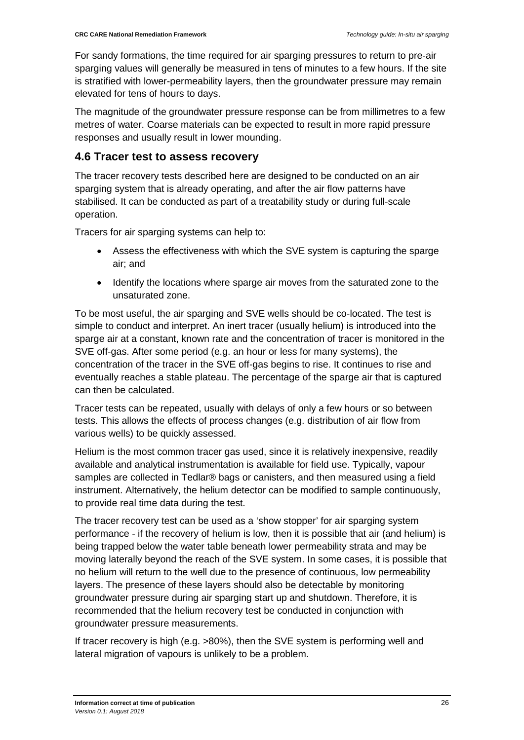For sandy formations, the time required for air sparging pressures to return to pre-air sparging values will generally be measured in tens of minutes to a few hours. If the site is stratified with lower-permeability layers, then the groundwater pressure may remain elevated for tens of hours to days.

The magnitude of the groundwater pressure response can be from millimetres to a few metres of water. Coarse materials can be expected to result in more rapid pressure responses and usually result in lower mounding.

#### <span id="page-26-0"></span>**4.6 Tracer test to assess recovery**

The tracer recovery tests described here are designed to be conducted on an air sparging system that is already operating, and after the air flow patterns have stabilised. It can be conducted as part of a treatability study or during full-scale operation.

Tracers for air sparging systems can help to:

- Assess the effectiveness with which the SVE system is capturing the sparge air; and
- Identify the locations where sparge air moves from the saturated zone to the unsaturated zone.

To be most useful, the air sparging and SVE wells should be co-located. The test is simple to conduct and interpret. An inert tracer (usually helium) is introduced into the sparge air at a constant, known rate and the concentration of tracer is monitored in the SVE off-gas. After some period (e.g. an hour or less for many systems), the concentration of the tracer in the SVE off-gas begins to rise. It continues to rise and eventually reaches a stable plateau. The percentage of the sparge air that is captured can then be calculated.

Tracer tests can be repeated, usually with delays of only a few hours or so between tests. This allows the effects of process changes (e.g. distribution of air flow from various wells) to be quickly assessed.

Helium is the most common tracer gas used, since it is relatively inexpensive, readily available and analytical instrumentation is available for field use. Typically, vapour samples are collected in Tedlar® bags or canisters, and then measured using a field instrument. Alternatively, the helium detector can be modified to sample continuously, to provide real time data during the test.

The tracer recovery test can be used as a 'show stopper' for air sparging system performance - if the recovery of helium is low, then it is possible that air (and helium) is being trapped below the water table beneath lower permeability strata and may be moving laterally beyond the reach of the SVE system. In some cases, it is possible that no helium will return to the well due to the presence of continuous, low permeability layers. The presence of these layers should also be detectable by monitoring groundwater pressure during air sparging start up and shutdown. Therefore, it is recommended that the helium recovery test be conducted in conjunction with groundwater pressure measurements.

If tracer recovery is high (e.g. >80%), then the SVE system is performing well and lateral migration of vapours is unlikely to be a problem.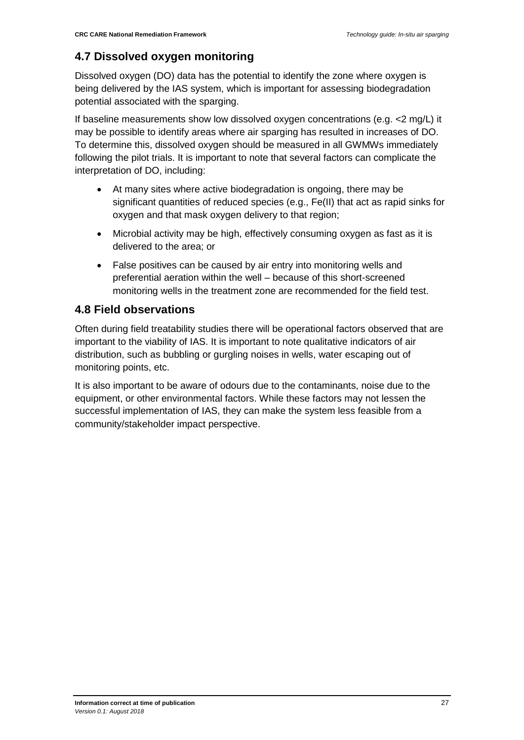#### <span id="page-27-0"></span>**4.7 Dissolved oxygen monitoring**

Dissolved oxygen (DO) data has the potential to identify the zone where oxygen is being delivered by the IAS system, which is important for assessing biodegradation potential associated with the sparging.

If baseline measurements show low dissolved oxygen concentrations (e.g. <2 mg/L) it may be possible to identify areas where air sparging has resulted in increases of DO. To determine this, dissolved oxygen should be measured in all GWMWs immediately following the pilot trials. It is important to note that several factors can complicate the interpretation of DO, including:

- At many sites where active biodegradation is ongoing, there may be significant quantities of reduced species (e.g., Fe(II) that act as rapid sinks for oxygen and that mask oxygen delivery to that region;
- Microbial activity may be high, effectively consuming oxygen as fast as it is delivered to the area; or
- False positives can be caused by air entry into monitoring wells and preferential aeration within the well – because of this short-screened monitoring wells in the treatment zone are recommended for the field test.

#### <span id="page-27-1"></span>**4.8 Field observations**

Often during field treatability studies there will be operational factors observed that are important to the viability of IAS. It is important to note qualitative indicators of air distribution, such as bubbling or gurgling noises in wells, water escaping out of monitoring points, etc.

It is also important to be aware of odours due to the contaminants, noise due to the equipment, or other environmental factors. While these factors may not lessen the successful implementation of IAS, they can make the system less feasible from a community/stakeholder impact perspective.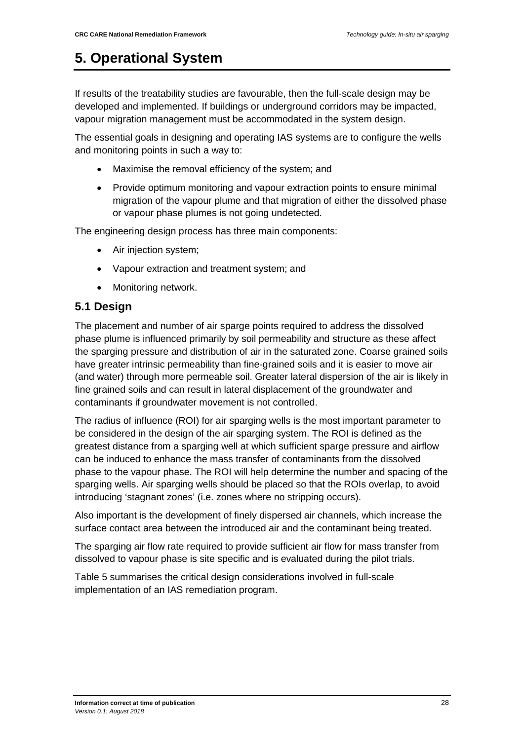# <span id="page-28-0"></span>**5. Operational System**

If results of the treatability studies are favourable, then the full-scale design may be developed and implemented. If buildings or underground corridors may be impacted, vapour migration management must be accommodated in the system design.

The essential goals in designing and operating IAS systems are to configure the wells and monitoring points in such a way to:

- Maximise the removal efficiency of the system; and
- Provide optimum monitoring and vapour extraction points to ensure minimal migration of the vapour plume and that migration of either the dissolved phase or vapour phase plumes is not going undetected.

The engineering design process has three main components:

- Air injection system;
- Vapour extraction and treatment system; and
- Monitoring network.

#### <span id="page-28-1"></span>**5.1 Design**

The placement and number of air sparge points required to address the dissolved phase plume is influenced primarily by soil permeability and structure as these affect the sparging pressure and distribution of air in the saturated zone. Coarse grained soils have greater intrinsic permeability than fine-grained soils and it is easier to move air (and water) through more permeable soil. Greater lateral dispersion of the air is likely in fine grained soils and can result in lateral displacement of the groundwater and contaminants if groundwater movement is not controlled.

The radius of influence (ROI) for air sparging wells is the most important parameter to be considered in the design of the air sparging system. The ROI is defined as the greatest distance from a sparging well at which sufficient sparge pressure and airflow can be induced to enhance the mass transfer of contaminants from the dissolved phase to the vapour phase. The ROI will help determine the number and spacing of the sparging wells. Air sparging wells should be placed so that the ROIs overlap, to avoid introducing 'stagnant zones' (i.e. zones where no stripping occurs).

Also important is the development of finely dispersed air channels, which increase the surface contact area between the introduced air and the contaminant being treated.

The sparging air flow rate required to provide sufficient air flow for mass transfer from dissolved to vapour phase is site specific and is evaluated during the pilot trials.

Table 5 summarises the critical design considerations involved in full-scale implementation of an IAS remediation program.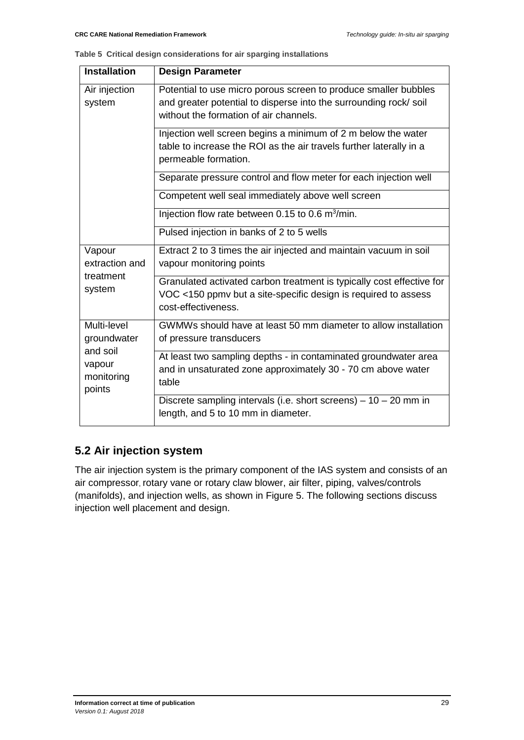**Table 5 Critical design considerations for air sparging installations**

| <b>Installation</b>                                                      | <b>Design Parameter</b>                                                                                                                                                       |
|--------------------------------------------------------------------------|-------------------------------------------------------------------------------------------------------------------------------------------------------------------------------|
| Air injection<br>system                                                  | Potential to use micro porous screen to produce smaller bubbles<br>and greater potential to disperse into the surrounding rock/soil<br>without the formation of air channels. |
|                                                                          | Injection well screen begins a minimum of 2 m below the water<br>table to increase the ROI as the air travels further laterally in a<br>permeable formation.                  |
|                                                                          | Separate pressure control and flow meter for each injection well                                                                                                              |
|                                                                          | Competent well seal immediately above well screen                                                                                                                             |
|                                                                          | Injection flow rate between 0.15 to 0.6 m <sup>3</sup> /min.                                                                                                                  |
|                                                                          | Pulsed injection in banks of 2 to 5 wells                                                                                                                                     |
| Vapour<br>extraction and<br>treatment<br>system                          | Extract 2 to 3 times the air injected and maintain vacuum in soil<br>vapour monitoring points                                                                                 |
|                                                                          | Granulated activated carbon treatment is typically cost effective for<br>VOC <150 ppmv but a site-specific design is required to assess<br>cost-effectiveness.                |
| Multi-level<br>groundwater<br>and soil<br>vapour<br>monitoring<br>points | GWMWs should have at least 50 mm diameter to allow installation<br>of pressure transducers                                                                                    |
|                                                                          | At least two sampling depths - in contaminated groundwater area<br>and in unsaturated zone approximately 30 - 70 cm above water<br>table                                      |
|                                                                          | Discrete sampling intervals (i.e. short screens) $-10 - 20$ mm in<br>length, and 5 to 10 mm in diameter.                                                                      |

### <span id="page-29-0"></span>**5.2 Air injection system**

The air injection system is the primary component of the IAS system and consists of an air compressor, rotary vane or rotary claw blower, air filter, piping, valves/controls (manifolds), and injection wells, as shown in Figure 5. The following sections discuss injection well placement and design.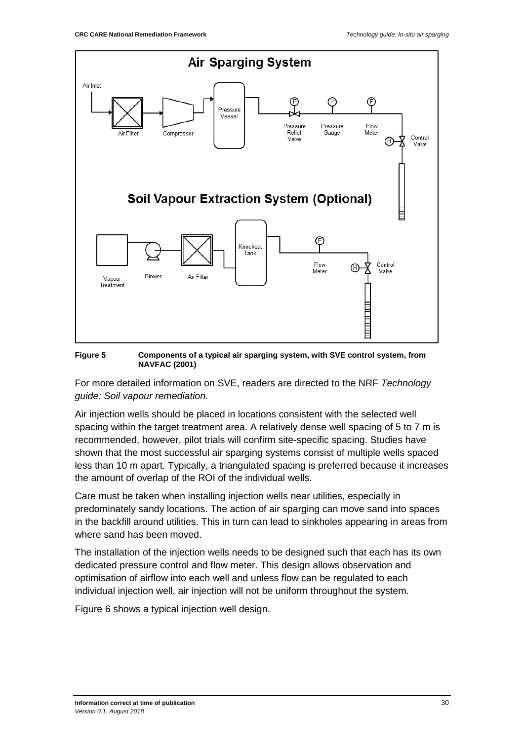

**Figure 5 Components of a typical air sparging system, with SVE control system, from NAVFAC (2001)**

For more detailed information on SVE, readers are directed to the NRF *Technology guide: Soil vapour remediation*.

Air injection wells should be placed in locations consistent with the selected well spacing within the target treatment area. A relatively dense well spacing of 5 to 7 m is recommended, however, pilot trials will confirm site-specific spacing. Studies have shown that the most successful air sparging systems consist of multiple wells spaced less than 10 m apart. Typically, a triangulated spacing is preferred because it increases the amount of overlap of the ROI of the individual wells.

Care must be taken when installing injection wells near utilities, especially in predominately sandy locations. The action of air sparging can move sand into spaces in the backfill around utilities. This in turn can lead to sinkholes appearing in areas from where sand has been moved.

The installation of the injection wells needs to be designed such that each has its own dedicated pressure control and flow meter. This design allows observation and optimisation of airflow into each well and unless flow can be regulated to each individual injection well, air injection will not be uniform throughout the system.

Figure 6 shows a typical injection well design.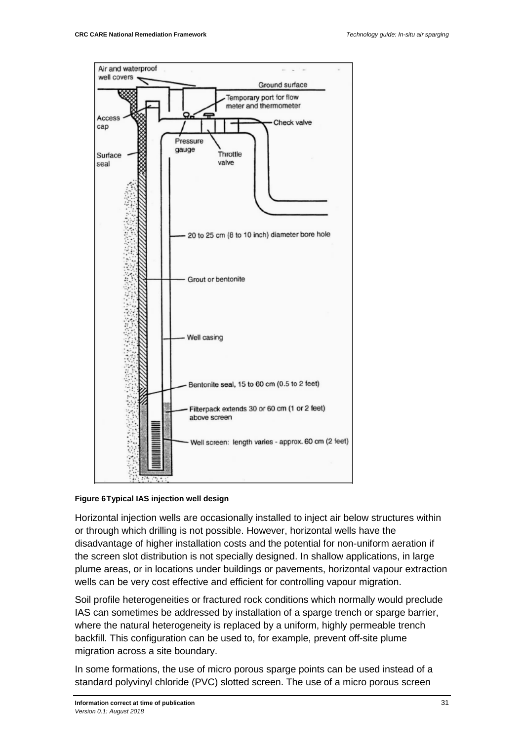

#### **Figure 6Typical IAS injection well design**

Horizontal injection wells are occasionally installed to inject air below structures within or through which drilling is not possible. However, horizontal wells have the disadvantage of higher installation costs and the potential for non-uniform aeration if the screen slot distribution is not specially designed. In shallow applications, in large plume areas, or in locations under buildings or pavements, horizontal vapour extraction wells can be very cost effective and efficient for controlling vapour migration.

Soil profile heterogeneities or fractured rock conditions which normally would preclude IAS can sometimes be addressed by installation of a sparge trench or sparge barrier, where the natural heterogeneity is replaced by a uniform, highly permeable trench backfill. This configuration can be used to, for example, prevent off-site plume migration across a site boundary.

In some formations, the use of micro porous sparge points can be used instead of a standard polyvinyl chloride (PVC) slotted screen. The use of a micro porous screen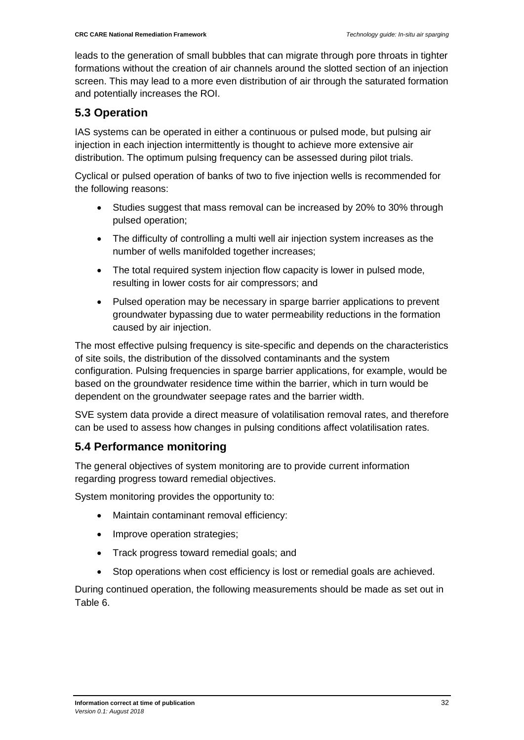leads to the generation of small bubbles that can migrate through pore throats in tighter formations without the creation of air channels around the slotted section of an injection screen. This may lead to a more even distribution of air through the saturated formation and potentially increases the ROI.

#### <span id="page-32-0"></span>**5.3 Operation**

IAS systems can be operated in either a continuous or pulsed mode, but pulsing air injection in each injection intermittently is thought to achieve more extensive air distribution. The optimum pulsing frequency can be assessed during pilot trials.

Cyclical or pulsed operation of banks of two to five injection wells is recommended for the following reasons:

- Studies suggest that mass removal can be increased by 20% to 30% through pulsed operation;
- The difficulty of controlling a multi well air injection system increases as the number of wells manifolded together increases;
- The total required system injection flow capacity is lower in pulsed mode, resulting in lower costs for air compressors; and
- Pulsed operation may be necessary in sparge barrier applications to prevent groundwater bypassing due to water permeability reductions in the formation caused by air injection.

The most effective pulsing frequency is site-specific and depends on the characteristics of site soils, the distribution of the dissolved contaminants and the system configuration. Pulsing frequencies in sparge barrier applications, for example, would be based on the groundwater residence time within the barrier, which in turn would be dependent on the groundwater seepage rates and the barrier width.

SVE system data provide a direct measure of volatilisation removal rates, and therefore can be used to assess how changes in pulsing conditions affect volatilisation rates.

#### <span id="page-32-1"></span>**5.4 Performance monitoring**

The general objectives of system monitoring are to provide current information regarding progress toward remedial objectives.

System monitoring provides the opportunity to:

- Maintain contaminant removal efficiency:
- Improve operation strategies;
- Track progress toward remedial goals; and
- Stop operations when cost efficiency is lost or remedial goals are achieved.

During continued operation, the following measurements should be made as set out in Table 6.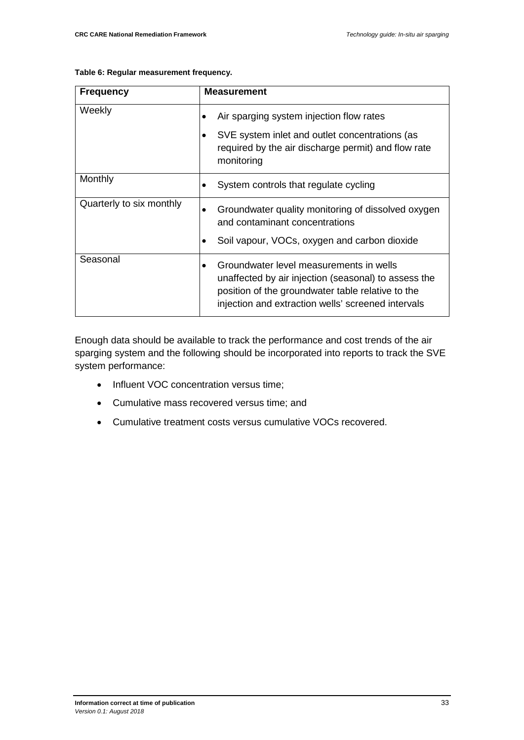| Table 6: Regular measurement frequency. |  |  |
|-----------------------------------------|--|--|
|-----------------------------------------|--|--|

| <b>Frequency</b>         | <b>Measurement</b>                                                                                                                                                                                         |
|--------------------------|------------------------------------------------------------------------------------------------------------------------------------------------------------------------------------------------------------|
| Weekly                   | Air sparging system injection flow rates                                                                                                                                                                   |
|                          | SVE system inlet and outlet concentrations (as<br>required by the air discharge permit) and flow rate<br>monitoring                                                                                        |
| Monthly                  | System controls that regulate cycling                                                                                                                                                                      |
| Quarterly to six monthly | Groundwater quality monitoring of dissolved oxygen<br>and contaminant concentrations                                                                                                                       |
|                          | Soil vapour, VOCs, oxygen and carbon dioxide                                                                                                                                                               |
| Seasonal                 | Groundwater level measurements in wells<br>unaffected by air injection (seasonal) to assess the<br>position of the groundwater table relative to the<br>injection and extraction wells' screened intervals |

Enough data should be available to track the performance and cost trends of the air sparging system and the following should be incorporated into reports to track the SVE system performance:

- Influent VOC concentration versus time;
- Cumulative mass recovered versus time; and
- Cumulative treatment costs versus cumulative VOCs recovered.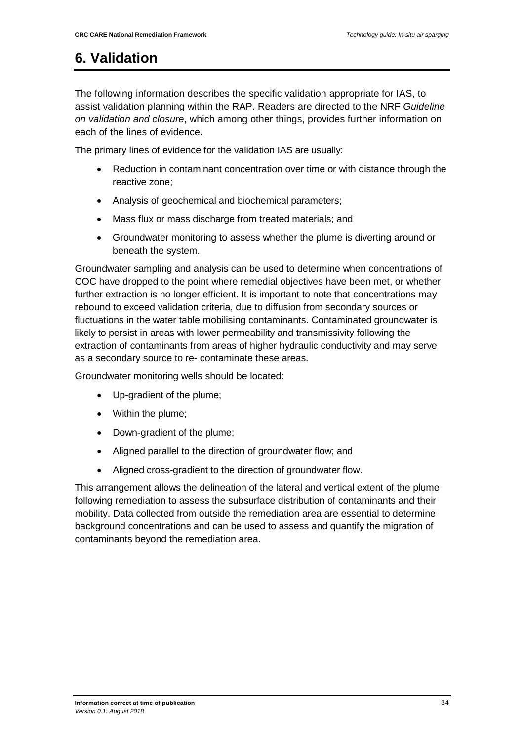## <span id="page-34-0"></span>**6. Validation**

The following information describes the specific validation appropriate for IAS, to assist validation planning within the RAP. Readers are directed to the NRF *Guideline on validation and closure*, which among other things, provides further information on each of the lines of evidence.

The primary lines of evidence for the validation IAS are usually:

- Reduction in contaminant concentration over time or with distance through the reactive zone;
- Analysis of geochemical and biochemical parameters;
- Mass flux or mass discharge from treated materials; and
- Groundwater monitoring to assess whether the plume is diverting around or beneath the system.

Groundwater sampling and analysis can be used to determine when concentrations of COC have dropped to the point where remedial objectives have been met, or whether further extraction is no longer efficient. It is important to note that concentrations may rebound to exceed validation criteria, due to diffusion from secondary sources or fluctuations in the water table mobilising contaminants. Contaminated groundwater is likely to persist in areas with lower permeability and transmissivity following the extraction of contaminants from areas of higher hydraulic conductivity and may serve as a secondary source to re- contaminate these areas.

Groundwater monitoring wells should be located:

- Up-gradient of the plume;
- Within the plume;
- Down-gradient of the plume;
- Aligned parallel to the direction of groundwater flow; and
- Aligned cross-gradient to the direction of groundwater flow.

This arrangement allows the delineation of the lateral and vertical extent of the plume following remediation to assess the subsurface distribution of contaminants and their mobility. Data collected from outside the remediation area are essential to determine background concentrations and can be used to assess and quantify the migration of contaminants beyond the remediation area.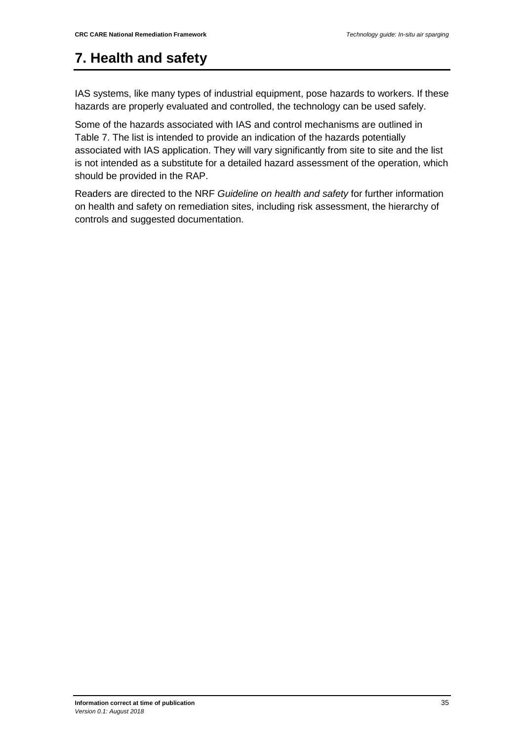## <span id="page-35-0"></span>**7. Health and safety**

IAS systems, like many types of industrial equipment, pose hazards to workers. If these hazards are properly evaluated and controlled, the technology can be used safely.

Some of the hazards associated with IAS and control mechanisms are outlined in Table 7. The list is intended to provide an indication of the hazards potentially associated with IAS application. They will vary significantly from site to site and the list is not intended as a substitute for a detailed hazard assessment of the operation, which should be provided in the RAP.

Readers are directed to the NRF *Guideline on health and safety* for further information on health and safety on remediation sites, including risk assessment, the hierarchy of controls and suggested documentation.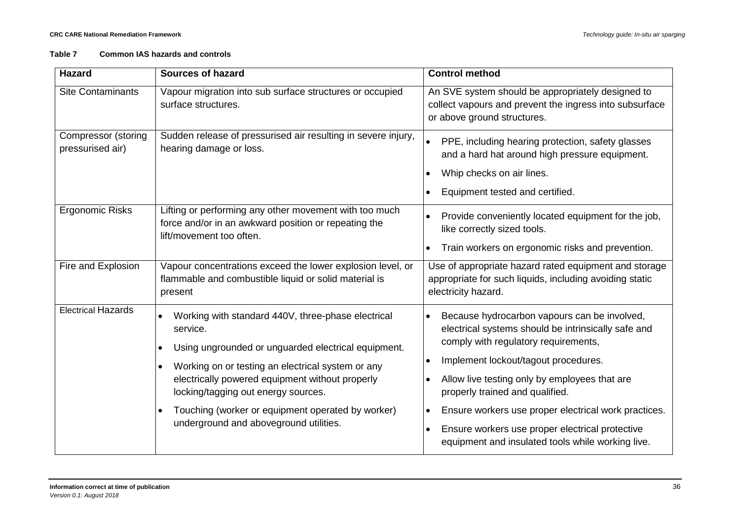#### **Table 7 Common IAS hazards and controls**

| <b>Hazard</b>                           | <b>Sources of hazard</b>                                                                                                                                                                                                                                                                                                                                                         | <b>Control method</b>                                                                                                                                                                                                                                                                                                                                                                                                                   |
|-----------------------------------------|----------------------------------------------------------------------------------------------------------------------------------------------------------------------------------------------------------------------------------------------------------------------------------------------------------------------------------------------------------------------------------|-----------------------------------------------------------------------------------------------------------------------------------------------------------------------------------------------------------------------------------------------------------------------------------------------------------------------------------------------------------------------------------------------------------------------------------------|
| <b>Site Contaminants</b>                | Vapour migration into sub surface structures or occupied<br>surface structures.                                                                                                                                                                                                                                                                                                  | An SVE system should be appropriately designed to<br>collect vapours and prevent the ingress into subsurface<br>or above ground structures.                                                                                                                                                                                                                                                                                             |
| Compressor (storing<br>pressurised air) | Sudden release of pressurised air resulting in severe injury,<br>hearing damage or loss.                                                                                                                                                                                                                                                                                         | PPE, including hearing protection, safety glasses<br>and a hard hat around high pressure equipment.<br>Whip checks on air lines.<br>Equipment tested and certified.                                                                                                                                                                                                                                                                     |
| <b>Ergonomic Risks</b>                  | Lifting or performing any other movement with too much<br>force and/or in an awkward position or repeating the<br>lift/movement too often.                                                                                                                                                                                                                                       | Provide conveniently located equipment for the job,<br>like correctly sized tools.<br>Train workers on ergonomic risks and prevention.                                                                                                                                                                                                                                                                                                  |
| Fire and Explosion                      | Vapour concentrations exceed the lower explosion level, or<br>flammable and combustible liquid or solid material is<br>present                                                                                                                                                                                                                                                   | Use of appropriate hazard rated equipment and storage<br>appropriate for such liquids, including avoiding static<br>electricity hazard.                                                                                                                                                                                                                                                                                                 |
| <b>Electrical Hazards</b>               | Working with standard 440V, three-phase electrical<br>service.<br>Using ungrounded or unguarded electrical equipment.<br>Working on or testing an electrical system or any<br>$\bullet$<br>electrically powered equipment without properly<br>locking/tagging out energy sources.<br>Touching (worker or equipment operated by worker)<br>underground and aboveground utilities. | Because hydrocarbon vapours can be involved,<br>electrical systems should be intrinsically safe and<br>comply with regulatory requirements,<br>Implement lockout/tagout procedures.<br>Allow live testing only by employees that are<br>properly trained and qualified.<br>Ensure workers use proper electrical work practices.<br>Ensure workers use proper electrical protective<br>equipment and insulated tools while working live. |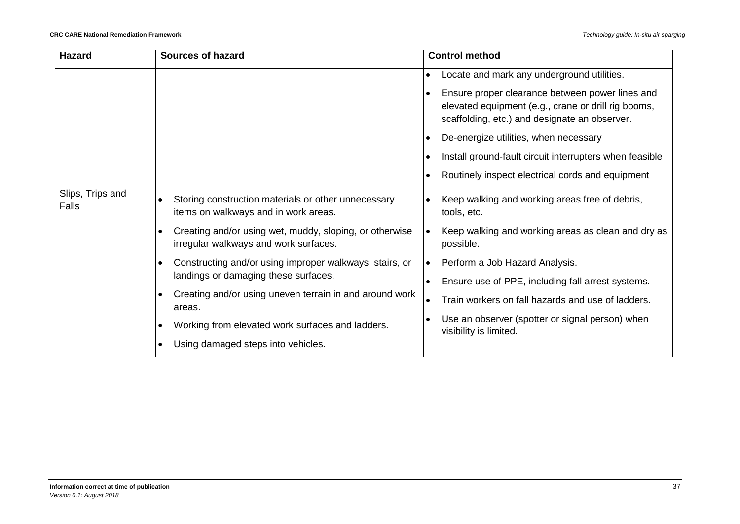| <b>Hazard</b>             | <b>Sources of hazard</b>                                                                                                                                             | <b>Control method</b>                                                                                                                                   |  |
|---------------------------|----------------------------------------------------------------------------------------------------------------------------------------------------------------------|---------------------------------------------------------------------------------------------------------------------------------------------------------|--|
|                           |                                                                                                                                                                      | Locate and mark any underground utilities.<br>$\bullet$                                                                                                 |  |
|                           |                                                                                                                                                                      | Ensure proper clearance between power lines and<br>elevated equipment (e.g., crane or drill rig booms,<br>scaffolding, etc.) and designate an observer. |  |
|                           |                                                                                                                                                                      | De-energize utilities, when necessary                                                                                                                   |  |
|                           |                                                                                                                                                                      | Install ground-fault circuit interrupters when feasible                                                                                                 |  |
|                           |                                                                                                                                                                      | Routinely inspect electrical cords and equipment                                                                                                        |  |
| Slips, Trips and<br>Falls | Storing construction materials or other unnecessary<br>items on walkways and in work areas.                                                                          | Keep walking and working areas free of debris,<br>tools, etc.                                                                                           |  |
|                           | Creating and/or using wet, muddy, sloping, or otherwise<br>irregular walkways and work surfaces.                                                                     | Keep walking and working areas as clean and dry as<br>possible.                                                                                         |  |
|                           | Constructing and/or using improper walkways, stairs, or<br>landings or damaging these surfaces.<br>Creating and/or using uneven terrain in and around work<br>areas. | Perform a Job Hazard Analysis.                                                                                                                          |  |
|                           |                                                                                                                                                                      | Ensure use of PPE, including fall arrest systems.                                                                                                       |  |
|                           |                                                                                                                                                                      | Train workers on fall hazards and use of ladders.                                                                                                       |  |
|                           | Working from elevated work surfaces and ladders.                                                                                                                     | Use an observer (spotter or signal person) when<br>visibility is limited.                                                                               |  |
|                           | Using damaged steps into vehicles.                                                                                                                                   |                                                                                                                                                         |  |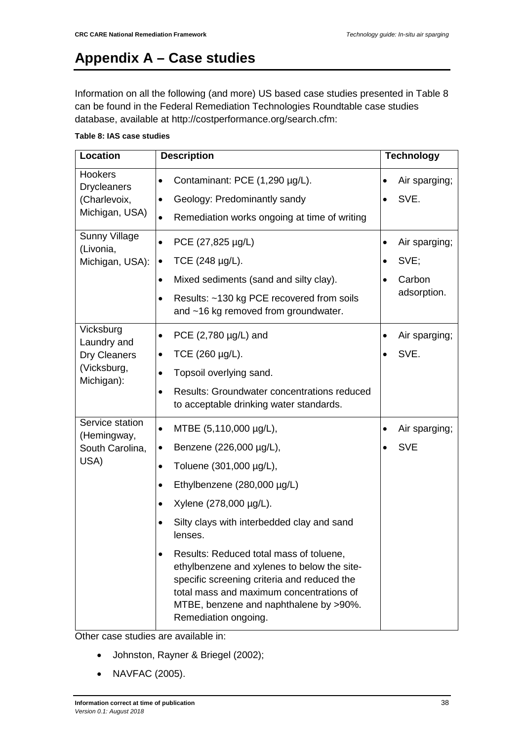# <span id="page-38-0"></span>**Appendix A – Case studies**

Information on all the following (and more) US based case studies presented in Table 8 can be found in the Federal Remediation Technologies Roundtable case studies database, available at [http://costperformance.org/search.cfm:](http://costperformance.org/search.cfm)

#### **Table 8: IAS case studies**

| <b>Location</b>                      | <b>Description</b>                                                                                                                                                                                                                                               | <b>Technology</b>          |
|--------------------------------------|------------------------------------------------------------------------------------------------------------------------------------------------------------------------------------------------------------------------------------------------------------------|----------------------------|
| <b>Hookers</b><br><b>Drycleaners</b> | Contaminant: PCE (1,290 µg/L).<br>$\bullet$                                                                                                                                                                                                                      | Air sparging;<br>٠         |
| (Charlevoix,                         | Geology: Predominantly sandy                                                                                                                                                                                                                                     | SVE.                       |
| Michigan, USA)                       | Remediation works ongoing at time of writing<br>$\bullet$                                                                                                                                                                                                        |                            |
| <b>Sunny Village</b><br>(Livonia,    | PCE (27,825 µg/L)<br>$\bullet$                                                                                                                                                                                                                                   | Air sparging;<br>$\bullet$ |
| Michigan, USA):                      | TCE (248 µg/L).<br>٠                                                                                                                                                                                                                                             | SVE;<br>$\bullet$          |
|                                      | Mixed sediments (sand and silty clay).<br>$\bullet$                                                                                                                                                                                                              | Carbon                     |
|                                      | Results: ~130 kg PCE recovered from soils<br>$\bullet$<br>and ~16 kg removed from groundwater.                                                                                                                                                                   | adsorption.                |
| Vicksburg<br>Laundry and             | PCE $(2,780 \mu g/L)$ and<br>$\bullet$                                                                                                                                                                                                                           | Air sparging;<br>$\bullet$ |
| Dry Cleaners                         | TCE (260 µg/L).<br>$\bullet$                                                                                                                                                                                                                                     | SVE.                       |
| (Vicksburg,<br>Michigan):            | Topsoil overlying sand.<br>$\bullet$                                                                                                                                                                                                                             |                            |
|                                      | <b>Results: Groundwater concentrations reduced</b><br>$\bullet$<br>to acceptable drinking water standards.                                                                                                                                                       |                            |
| Service station<br>(Hemingway,       | MTBE (5,110,000 µg/L),<br>$\bullet$                                                                                                                                                                                                                              | Air sparging;<br>$\bullet$ |
| South Carolina,                      | Benzene (226,000 µg/L),<br>$\bullet$                                                                                                                                                                                                                             | <b>SVE</b>                 |
| USA)                                 | Toluene (301,000 µg/L),<br>$\bullet$                                                                                                                                                                                                                             |                            |
|                                      | Ethylbenzene (280,000 µg/L)                                                                                                                                                                                                                                      |                            |
|                                      | Xylene (278,000 µg/L).<br>$\bullet$                                                                                                                                                                                                                              |                            |
|                                      | Silty clays with interbedded clay and sand<br>lenses.                                                                                                                                                                                                            |                            |
|                                      | Results: Reduced total mass of toluene,<br>$\bullet$<br>ethylbenzene and xylenes to below the site-<br>specific screening criteria and reduced the<br>total mass and maximum concentrations of<br>MTBE, benzene and naphthalene by >90%.<br>Remediation ongoing. |                            |

Other case studies are available in:

- Johnston, Rayner & Briegel (2002);
- NAVFAC (2005).